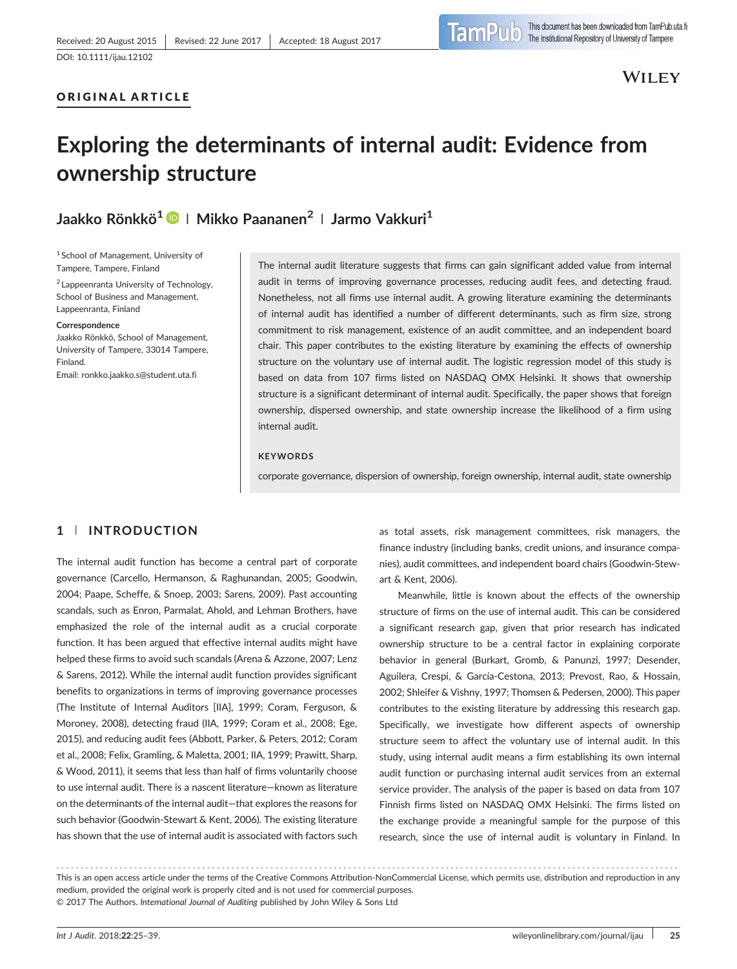# ORIGINAL ARTICLE

# Exploring the determinants of internal audit: Evidence from ownership structure

Jaakko Rönkkö<sup>1</sup> <sup>(b</sup>) | Mikko Paananen<sup>2</sup> | Jarmo Vakkuri<sup>1</sup>

<sup>1</sup> School of Management, University of Tampere, Tampere, Finland

<sup>2</sup> Lappeenranta University of Technology, School of Business and Management, Lappeenranta, Finland

#### Correspondence

Jaakko Rönkkö, School of Management, University of Tampere, 33014 Tampere, Finland. Email: [ronkko.jaakko.s@student.uta.fi](mailto:ronkko.jaakko.s@student.uta.fi)

The internal audit literature suggests that firms can gain significant added value from internal audit in terms of improving governance processes, reducing audit fees, and detecting fraud. Nonetheless, not all firms use internal audit. A growing literature examining the determinants of internal audit has identified a number of different determinants, such as firm size, strong commitment to risk management, existence of an audit committee, and an independent board chair. This paper contributes to the existing literature by examining the effects of ownership structure on the voluntary use of internal audit. The logistic regression model of this study is based on data from 107 firms listed on NASDAQ OMX Helsinki. It shows that ownership structure is a significant determinant of internal audit. Specifically, the paper shows that foreign ownership, dispersed ownership, and state ownership increase the likelihood of a firm using internal audit.

#### **KEYWORDS**

corporate governance, dispersion of ownership, foreign ownership, internal audit, state ownership

# 1 | INTRODUCTION

The internal audit function has become a central part of corporate governance (Carcello, Hermanson, & Raghunandan, 2005; Goodwin, 2004; Paape, Scheffe, & Snoep, 2003; Sarens, 2009). Past accounting scandals, such as Enron, Parmalat, Ahold, and Lehman Brothers, have emphasized the role of the internal audit as a crucial corporate function. It has been argued that effective internal audits might have helped these firms to avoid such scandals (Arena & Azzone, 2007; Lenz & Sarens, 2012). While the internal audit function provides significant benefits to organizations in terms of improving governance processes (The Institute of Internal Auditors [IIA], 1999; Coram, Ferguson, & Moroney, 2008), detecting fraud (IIA, 1999; Coram et al., 2008; Ege, 2015), and reducing audit fees (Abbott, Parker, & Peters, 2012; Coram et al., 2008; Felix, Gramling, & Maletta, 2001; IIA, 1999; Prawitt, Sharp, & Wood, 2011), it seems that less than half of firms voluntarily choose to use internal audit. There is a nascent literature—known as literature on the determinants of the internal audit—that explores the reasons for such behavior (Goodwin‐Stewart & Kent, 2006). The existing literature has shown that the use of internal audit is associated with factors such

as total assets, risk management committees, risk managers, the finance industry (including banks, credit unions, and insurance companies), audit committees, and independent board chairs (Goodwin‐Stewart & Kent, 2006).

Meanwhile, little is known about the effects of the ownership structure of firms on the use of internal audit. This can be considered a significant research gap, given that prior research has indicated ownership structure to be a central factor in explaining corporate behavior in general (Burkart, Gromb, & Panunzi, 1997; Desender, Aguilera, Crespi, & García‐Cestona, 2013; Prevost, Rao, & Hossain, 2002; Shleifer & Vishny, 1997; Thomsen & Pedersen, 2000). This paper contributes to the existing literature by addressing this research gap. Specifically, we investigate how different aspects of ownership structure seem to affect the voluntary use of internal audit. In this study, using internal audit means a firm establishing its own internal audit function or purchasing internal audit services from an external service provider. The analysis of the paper is based on data from 107 Finnish firms listed on NASDAQ OMX Helsinki. The firms listed on the exchange provide a meaningful sample for the purpose of this research, since the use of internal audit is voluntary in Finland. In

<sup>-------------------------------------------------------------------------------------------------------------------------------</sup> - This is an open access article under the terms of the [Creative Commons Attribution](http://creativecommons.org/licenses/by-nc/4.0/)‐NonCommercial License, which permits use, distribution and reproduction in any medium, provided the original work is properly cited and is not used for commercial purposes. © 2017 The Authors. International Journal of Auditing published by John Wiley & Sons Ltd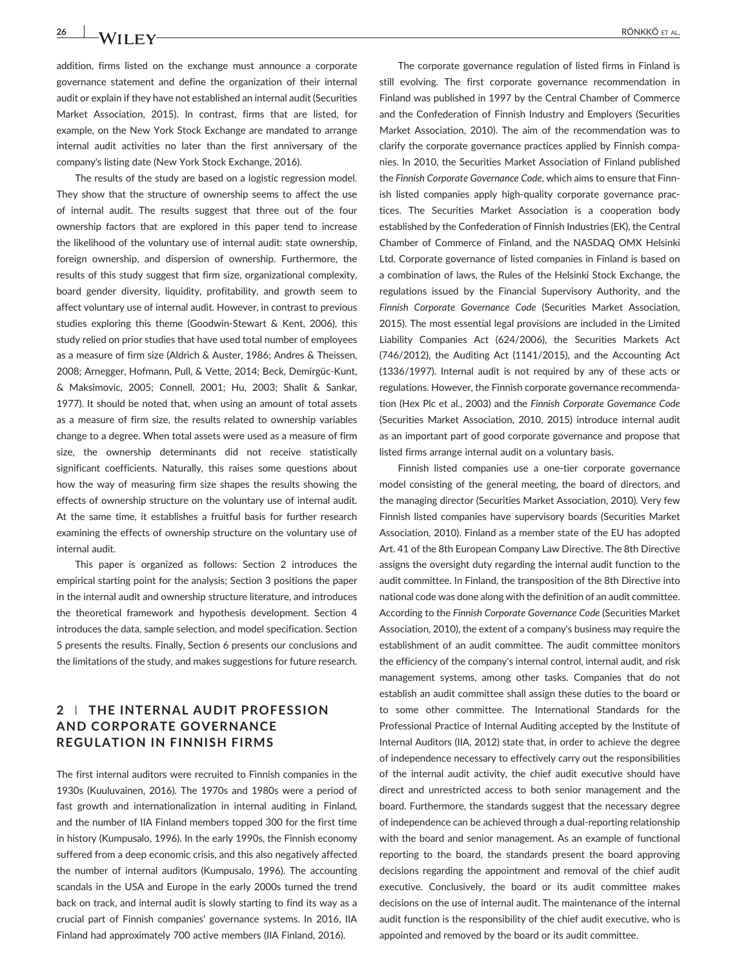**26 RÖNKKÖ ET AL.** RÖNKKÖ ET AL.

addition, firms listed on the exchange must announce a corporate governance statement and define the organization of their internal audit or explain if they have not established an internal audit (Securities Market Association, 2015). In contrast, firms that are listed, for example, on the New York Stock Exchange are mandated to arrange internal audit activities no later than the first anniversary of the company's listing date (New York Stock Exchange, 2016).

The results of the study are based on a logistic regression model. They show that the structure of ownership seems to affect the use of internal audit. The results suggest that three out of the four ownership factors that are explored in this paper tend to increase the likelihood of the voluntary use of internal audit: state ownership, foreign ownership, and dispersion of ownership. Furthermore, the results of this study suggest that firm size, organizational complexity, board gender diversity, liquidity, profitability, and growth seem to affect voluntary use of internal audit. However, in contrast to previous studies exploring this theme (Goodwin‐Stewart & Kent, 2006), this study relied on prior studies that have used total number of employees as a measure of firm size (Aldrich & Auster, 1986; Andres & Theissen, 2008; Arnegger, Hofmann, Pull, & Vette, 2014; Beck, Demirgüc‐Kunt, & Maksimovic, 2005; Connell, 2001; Hu, 2003; Shalit & Sankar, 1977). It should be noted that, when using an amount of total assets as a measure of firm size, the results related to ownership variables change to a degree. When total assets were used as a measure of firm size, the ownership determinants did not receive statistically significant coefficients. Naturally, this raises some questions about how the way of measuring firm size shapes the results showing the effects of ownership structure on the voluntary use of internal audit. At the same time, it establishes a fruitful basis for further research examining the effects of ownership structure on the voluntary use of internal audit.

This paper is organized as follows: Section 2 introduces the empirical starting point for the analysis; Section 3 positions the paper in the internal audit and ownership structure literature, and introduces the theoretical framework and hypothesis development. Section 4 introduces the data, sample selection, and model specification. Section 5 presents the results. Finally, Section 6 presents our conclusions and the limitations of the study, and makes suggestions for future research.

# 2 | THE INTERNAL AUDIT PROFESSION AND CORPORATE GOVERNANCE REGULATION IN FINNISH FIRMS

The first internal auditors were recruited to Finnish companies in the 1930s (Kuuluvainen, 2016). The 1970s and 1980s were a period of fast growth and internationalization in internal auditing in Finland, and the number of IIA Finland members topped 300 for the first time in history (Kumpusalo, 1996). In the early 1990s, the Finnish economy suffered from a deep economic crisis, and this also negatively affected the number of internal auditors (Kumpusalo, 1996). The accounting scandals in the USA and Europe in the early 2000s turned the trend back on track, and internal audit is slowly starting to find its way as a crucial part of Finnish companies' governance systems. In 2016, IIA Finland had approximately 700 active members (IIA Finland, 2016).

The corporate governance regulation of listed firms in Finland is still evolving. The first corporate governance recommendation in Finland was published in 1997 by the Central Chamber of Commerce and the Confederation of Finnish Industry and Employers (Securities Market Association, 2010). The aim of the recommendation was to clarify the corporate governance practices applied by Finnish companies. In 2010, the Securities Market Association of Finland published the Finnish Corporate Governance Code, which aims to ensure that Finnish listed companies apply high‐quality corporate governance practices. The Securities Market Association is a cooperation body established by the Confederation of Finnish Industries (EK), the Central Chamber of Commerce of Finland, and the NASDAQ OMX Helsinki Ltd. Corporate governance of listed companies in Finland is based on a combination of laws, the Rules of the Helsinki Stock Exchange, the regulations issued by the Financial Supervisory Authority, and the Finnish Corporate Governance Code (Securities Market Association, 2015). The most essential legal provisions are included in the Limited Liability Companies Act (624/2006), the Securities Markets Act (746/2012), the Auditing Act (1141/2015), and the Accounting Act (1336/1997). Internal audit is not required by any of these acts or regulations. However, the Finnish corporate governance recommendation (Hex Plc et al., 2003) and the Finnish Corporate Governance Code (Securities Market Association, 2010, 2015) introduce internal audit as an important part of good corporate governance and propose that listed firms arrange internal audit on a voluntary basis.

Finnish listed companies use a one‐tier corporate governance model consisting of the general meeting, the board of directors, and the managing director (Securities Market Association, 2010). Very few Finnish listed companies have supervisory boards (Securities Market Association, 2010). Finland as a member state of the EU has adopted Art. 41 of the 8th European Company Law Directive. The 8th Directive assigns the oversight duty regarding the internal audit function to the audit committee. In Finland, the transposition of the 8th Directive into national code was done along with the definition of an audit committee. According to the Finnish Corporate Governance Code (Securities Market Association, 2010), the extent of a company's business may require the establishment of an audit committee. The audit committee monitors the efficiency of the company's internal control, internal audit, and risk management systems, among other tasks. Companies that do not establish an audit committee shall assign these duties to the board or to some other committee. The International Standards for the Professional Practice of Internal Auditing accepted by the Institute of Internal Auditors (IIA, 2012) state that, in order to achieve the degree of independence necessary to effectively carry out the responsibilities of the internal audit activity, the chief audit executive should have direct and unrestricted access to both senior management and the board. Furthermore, the standards suggest that the necessary degree of independence can be achieved through a dual‐reporting relationship with the board and senior management. As an example of functional reporting to the board, the standards present the board approving decisions regarding the appointment and removal of the chief audit executive. Conclusively, the board or its audit committee makes decisions on the use of internal audit. The maintenance of the internal audit function is the responsibility of the chief audit executive, who is appointed and removed by the board or its audit committee.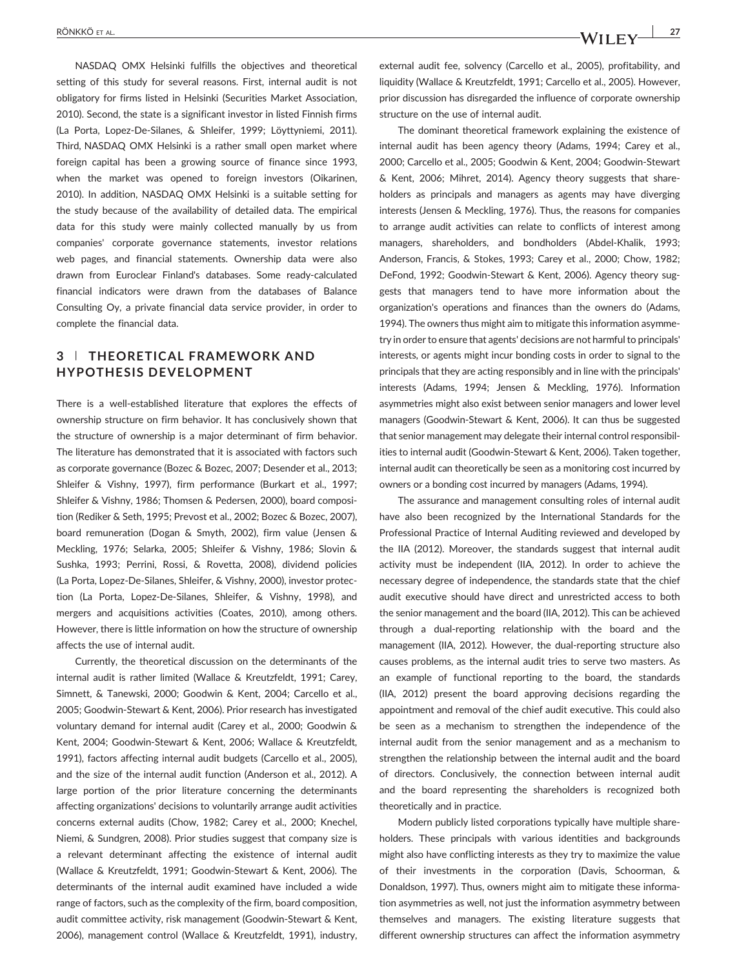NASDAQ OMX Helsinki fulfills the objectives and theoretical setting of this study for several reasons. First, internal audit is not obligatory for firms listed in Helsinki (Securities Market Association, 2010). Second, the state is a significant investor in listed Finnish firms (La Porta, Lopez‐De‐Silanes, & Shleifer, 1999; Löyttyniemi, 2011). Third, NASDAQ OMX Helsinki is a rather small open market where foreign capital has been a growing source of finance since 1993, when the market was opened to foreign investors (Oikarinen, 2010). In addition, NASDAQ OMX Helsinki is a suitable setting for the study because of the availability of detailed data. The empirical data for this study were mainly collected manually by us from companies' corporate governance statements, investor relations web pages, and financial statements. Ownership data were also drawn from Euroclear Finland's databases. Some ready‐calculated financial indicators were drawn from the databases of Balance Consulting Oy, a private financial data service provider, in order to complete the financial data.

# 3 | THEORETICAL FRAMEWORK AND HYPOTHESIS DEVELOPMENT

There is a well‐established literature that explores the effects of ownership structure on firm behavior. It has conclusively shown that the structure of ownership is a major determinant of firm behavior. The literature has demonstrated that it is associated with factors such as corporate governance (Bozec & Bozec, 2007; Desender et al., 2013; Shleifer & Vishny, 1997), firm performance (Burkart et al., 1997; Shleifer & Vishny, 1986; Thomsen & Pedersen, 2000), board composition (Rediker & Seth, 1995; Prevost et al., 2002; Bozec & Bozec, 2007), board remuneration (Dogan & Smyth, 2002), firm value (Jensen & Meckling, 1976; Selarka, 2005; Shleifer & Vishny, 1986; Slovin & Sushka, 1993; Perrini, Rossi, & Rovetta, 2008), dividend policies (La Porta, Lopez‐De‐Silanes, Shleifer, & Vishny, 2000), investor protection (La Porta, Lopez‐De‐Silanes, Shleifer, & Vishny, 1998), and mergers and acquisitions activities (Coates, 2010), among others. However, there is little information on how the structure of ownership affects the use of internal audit.

Currently, the theoretical discussion on the determinants of the internal audit is rather limited (Wallace & Kreutzfeldt, 1991; Carey, Simnett, & Tanewski, 2000; Goodwin & Kent, 2004; Carcello et al., 2005; Goodwin‐Stewart & Kent, 2006). Prior research has investigated voluntary demand for internal audit (Carey et al., 2000; Goodwin & Kent, 2004; Goodwin‐Stewart & Kent, 2006; Wallace & Kreutzfeldt, 1991), factors affecting internal audit budgets (Carcello et al., 2005), and the size of the internal audit function (Anderson et al., 2012). A large portion of the prior literature concerning the determinants affecting organizations' decisions to voluntarily arrange audit activities concerns external audits (Chow, 1982; Carey et al., 2000; Knechel, Niemi, & Sundgren, 2008). Prior studies suggest that company size is a relevant determinant affecting the existence of internal audit (Wallace & Kreutzfeldt, 1991; Goodwin‐Stewart & Kent, 2006). The determinants of the internal audit examined have included a wide range of factors, such as the complexity of the firm, board composition, audit committee activity, risk management (Goodwin‐Stewart & Kent, 2006), management control (Wallace & Kreutzfeldt, 1991), industry,

external audit fee, solvency (Carcello et al., 2005), profitability, and liquidity (Wallace & Kreutzfeldt, 1991; Carcello et al., 2005). However, prior discussion has disregarded the influence of corporate ownership structure on the use of internal audit.

The dominant theoretical framework explaining the existence of internal audit has been agency theory (Adams, 1994; Carey et al., 2000; Carcello et al., 2005; Goodwin & Kent, 2004; Goodwin‐Stewart & Kent, 2006; Mihret, 2014). Agency theory suggests that shareholders as principals and managers as agents may have diverging interests (Jensen & Meckling, 1976). Thus, the reasons for companies to arrange audit activities can relate to conflicts of interest among managers, shareholders, and bondholders (Abdel‐Khalik, 1993; Anderson, Francis, & Stokes, 1993; Carey et al., 2000; Chow, 1982; DeFond, 1992; Goodwin‐Stewart & Kent, 2006). Agency theory suggests that managers tend to have more information about the organization's operations and finances than the owners do (Adams, 1994). The owners thus might aim to mitigate this information asymmetry in order to ensure that agents' decisions are not harmful to principals' interests, or agents might incur bonding costs in order to signal to the principals that they are acting responsibly and in line with the principals' interests (Adams, 1994; Jensen & Meckling, 1976). Information asymmetries might also exist between senior managers and lower level managers (Goodwin‐Stewart & Kent, 2006). It can thus be suggested that senior management may delegate their internal control responsibilities to internal audit (Goodwin‐Stewart & Kent, 2006). Taken together, internal audit can theoretically be seen as a monitoring cost incurred by owners or a bonding cost incurred by managers (Adams, 1994).

The assurance and management consulting roles of internal audit have also been recognized by the International Standards for the Professional Practice of Internal Auditing reviewed and developed by the IIA (2012). Moreover, the standards suggest that internal audit activity must be independent (IIA, 2012). In order to achieve the necessary degree of independence, the standards state that the chief audit executive should have direct and unrestricted access to both the senior management and the board (IIA, 2012). This can be achieved through a dual‐reporting relationship with the board and the management (IIA, 2012). However, the dual‐reporting structure also causes problems, as the internal audit tries to serve two masters. As an example of functional reporting to the board, the standards (IIA, 2012) present the board approving decisions regarding the appointment and removal of the chief audit executive. This could also be seen as a mechanism to strengthen the independence of the internal audit from the senior management and as a mechanism to strengthen the relationship between the internal audit and the board of directors. Conclusively, the connection between internal audit and the board representing the shareholders is recognized both theoretically and in practice.

Modern publicly listed corporations typically have multiple shareholders. These principals with various identities and backgrounds might also have conflicting interests as they try to maximize the value of their investments in the corporation (Davis, Schoorman, & Donaldson, 1997). Thus, owners might aim to mitigate these information asymmetries as well, not just the information asymmetry between themselves and managers. The existing literature suggests that different ownership structures can affect the information asymmetry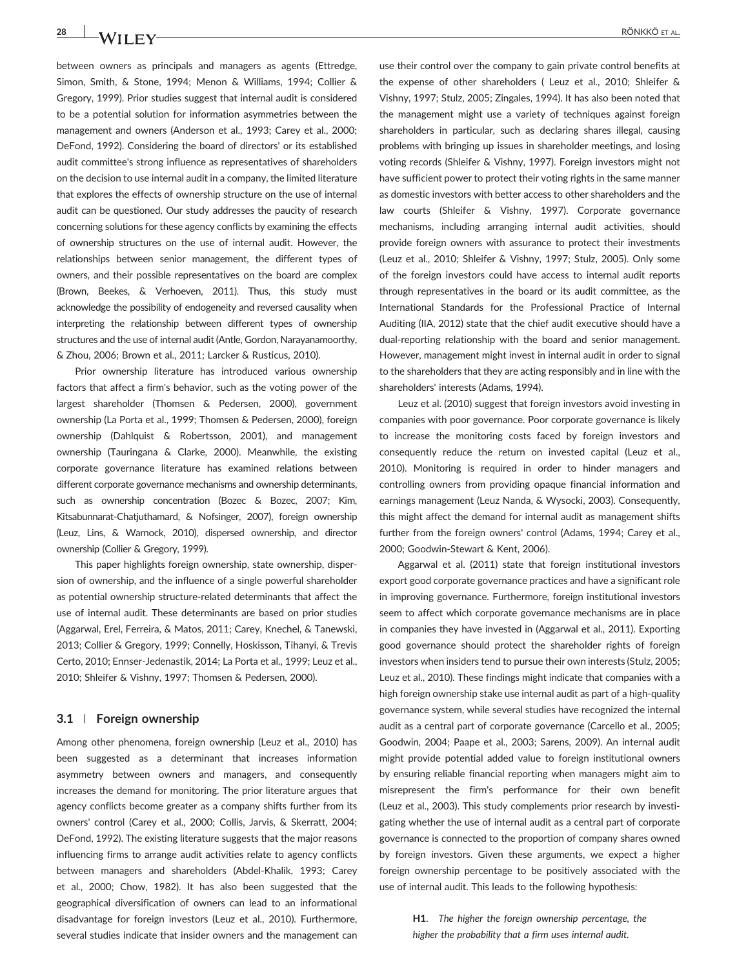between owners as principals and managers as agents (Ettredge, Simon, Smith, & Stone, 1994; Menon & Williams, 1994; Collier & Gregory, 1999). Prior studies suggest that internal audit is considered to be a potential solution for information asymmetries between the management and owners (Anderson et al., 1993; Carey et al., 2000; DeFond, 1992). Considering the board of directors' or its established audit committee's strong influence as representatives of shareholders on the decision to use internal audit in a company, the limited literature that explores the effects of ownership structure on the use of internal audit can be questioned. Our study addresses the paucity of research concerning solutions for these agency conflicts by examining the effects of ownership structures on the use of internal audit. However, the relationships between senior management, the different types of owners, and their possible representatives on the board are complex (Brown, Beekes, & Verhoeven, 2011). Thus, this study must acknowledge the possibility of endogeneity and reversed causality when interpreting the relationship between different types of ownership structures and the use of internal audit (Antle, Gordon, Narayanamoorthy, & Zhou, 2006; Brown et al., 2011; Larcker & Rusticus, 2010).

Prior ownership literature has introduced various ownership factors that affect a firm's behavior, such as the voting power of the largest shareholder (Thomsen & Pedersen, 2000), government ownership (La Porta et al., 1999; Thomsen & Pedersen, 2000), foreign ownership (Dahlquist & Robertsson, 2001), and management ownership (Tauringana & Clarke, 2000). Meanwhile, the existing corporate governance literature has examined relations between different corporate governance mechanisms and ownership determinants, such as ownership concentration (Bozec & Bozec, 2007; Kim, Kitsabunnarat-Chatjuthamard, & Nofsinger, 2007), foreign ownership (Leuz, Lins, & Warnock, 2010), dispersed ownership, and director ownership (Collier & Gregory, 1999).

This paper highlights foreign ownership, state ownership, dispersion of ownership, and the influence of a single powerful shareholder as potential ownership structure‐related determinants that affect the use of internal audit. These determinants are based on prior studies (Aggarwal, Erel, Ferreira, & Matos, 2011; Carey, Knechel, & Tanewski, 2013; Collier & Gregory, 1999; Connelly, Hoskisson, Tihanyi, & Trevis Certo, 2010; Ennser‐Jedenastik, 2014; La Porta et al., 1999; Leuz et al., 2010; Shleifer & Vishny, 1997; Thomsen & Pedersen, 2000).

#### 3.1 | Foreign ownership

Among other phenomena, foreign ownership (Leuz et al., 2010) has been suggested as a determinant that increases information asymmetry between owners and managers, and consequently increases the demand for monitoring. The prior literature argues that agency conflicts become greater as a company shifts further from its owners' control (Carey et al., 2000; Collis, Jarvis, & Skerratt, 2004; DeFond, 1992). The existing literature suggests that the major reasons influencing firms to arrange audit activities relate to agency conflicts between managers and shareholders (Abdel‐Khalik, 1993; Carey et al., 2000; Chow, 1982). It has also been suggested that the geographical diversification of owners can lead to an informational disadvantage for foreign investors (Leuz et al., 2010). Furthermore, several studies indicate that insider owners and the management can use their control over the company to gain private control benefits at the expense of other shareholders ( Leuz et al., 2010; Shleifer & Vishny, 1997; Stulz, 2005; Zingales, 1994). It has also been noted that the management might use a variety of techniques against foreign shareholders in particular, such as declaring shares illegal, causing problems with bringing up issues in shareholder meetings, and losing voting records (Shleifer & Vishny, 1997). Foreign investors might not have sufficient power to protect their voting rights in the same manner as domestic investors with better access to other shareholders and the law courts (Shleifer & Vishny, 1997). Corporate governance mechanisms, including arranging internal audit activities, should provide foreign owners with assurance to protect their investments (Leuz et al., 2010; Shleifer & Vishny, 1997; Stulz, 2005). Only some of the foreign investors could have access to internal audit reports through representatives in the board or its audit committee, as the International Standards for the Professional Practice of Internal Auditing (IIA, 2012) state that the chief audit executive should have a dual-reporting relationship with the board and senior management. However, management might invest in internal audit in order to signal to the shareholders that they are acting responsibly and in line with the shareholders' interests (Adams, 1994).

Leuz et al. (2010) suggest that foreign investors avoid investing in companies with poor governance. Poor corporate governance is likely to increase the monitoring costs faced by foreign investors and consequently reduce the return on invested capital (Leuz et al., 2010). Monitoring is required in order to hinder managers and controlling owners from providing opaque financial information and earnings management (Leuz Nanda, & Wysocki, 2003). Consequently, this might affect the demand for internal audit as management shifts further from the foreign owners' control (Adams, 1994; Carey et al., 2000; Goodwin‐Stewart & Kent, 2006).

Aggarwal et al. (2011) state that foreign institutional investors export good corporate governance practices and have a significant role in improving governance. Furthermore, foreign institutional investors seem to affect which corporate governance mechanisms are in place in companies they have invested in (Aggarwal et al., 2011). Exporting good governance should protect the shareholder rights of foreign investors when insiders tend to pursue their own interests (Stulz, 2005; Leuz et al., 2010). These findings might indicate that companies with a high foreign ownership stake use internal audit as part of a high‐quality governance system, while several studies have recognized the internal audit as a central part of corporate governance (Carcello et al., 2005; Goodwin, 2004; Paape et al., 2003; Sarens, 2009). An internal audit might provide potential added value to foreign institutional owners by ensuring reliable financial reporting when managers might aim to misrepresent the firm's performance for their own benefit (Leuz et al., 2003). This study complements prior research by investigating whether the use of internal audit as a central part of corporate governance is connected to the proportion of company shares owned by foreign investors. Given these arguments, we expect a higher foreign ownership percentage to be positively associated with the use of internal audit. This leads to the following hypothesis:

> H1. The higher the foreign ownership percentage, the higher the probability that a firm uses internal audit.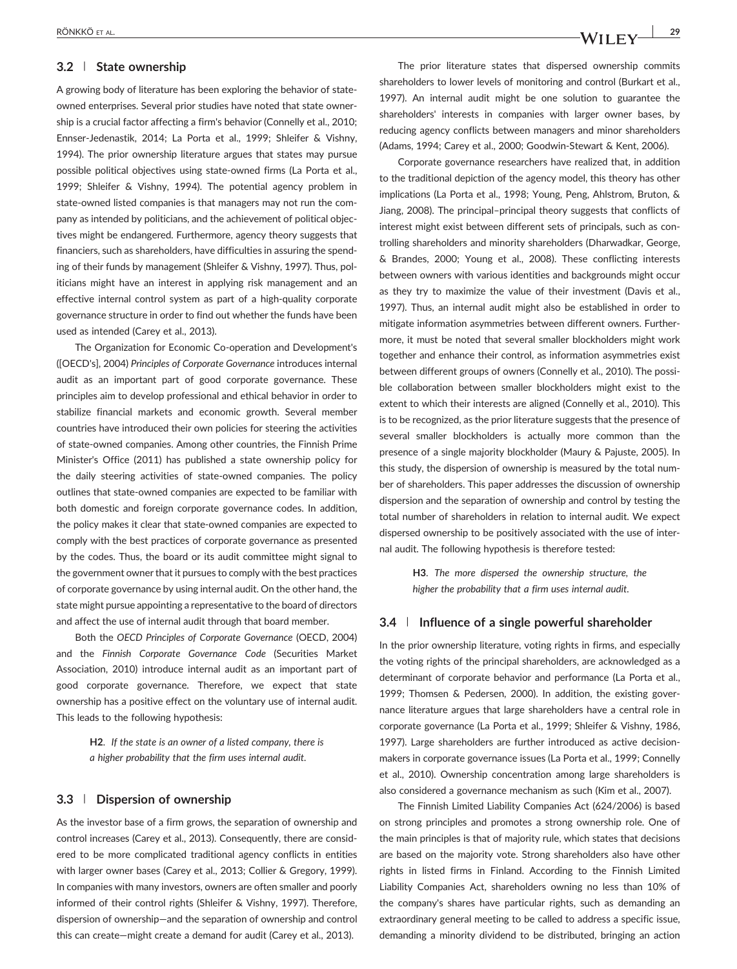#### 3.2 | State ownership

A growing body of literature has been exploring the behavior of state‐ owned enterprises. Several prior studies have noted that state ownership is a crucial factor affecting a firm's behavior (Connelly et al., 2010; Ennser‐Jedenastik, 2014; La Porta et al., 1999; Shleifer & Vishny, 1994). The prior ownership literature argues that states may pursue possible political objectives using state‐owned firms (La Porta et al., 1999; Shleifer & Vishny, 1994). The potential agency problem in state‐owned listed companies is that managers may not run the company as intended by politicians, and the achievement of political objectives might be endangered. Furthermore, agency theory suggests that financiers, such as shareholders, have difficulties in assuring the spending of their funds by management (Shleifer & Vishny, 1997). Thus, politicians might have an interest in applying risk management and an effective internal control system as part of a high‐quality corporate governance structure in order to find out whether the funds have been used as intended (Carey et al., 2013).

The Organization for Economic Co-operation and Development's ([OECD's], 2004) Principles of Corporate Governance introduces internal audit as an important part of good corporate governance. These principles aim to develop professional and ethical behavior in order to stabilize financial markets and economic growth. Several member countries have introduced their own policies for steering the activities of state‐owned companies. Among other countries, the Finnish Prime Minister's Office (2011) has published a state ownership policy for the daily steering activities of state‐owned companies. The policy outlines that state‐owned companies are expected to be familiar with both domestic and foreign corporate governance codes. In addition, the policy makes it clear that state‐owned companies are expected to comply with the best practices of corporate governance as presented by the codes. Thus, the board or its audit committee might signal to the government owner that it pursues to comply with the best practices of corporate governance by using internal audit. On the other hand, the state might pursue appointing a representative to the board of directors and affect the use of internal audit through that board member.

Both the OECD Principles of Corporate Governance (OECD, 2004) and the Finnish Corporate Governance Code (Securities Market Association, 2010) introduce internal audit as an important part of good corporate governance. Therefore, we expect that state ownership has a positive effect on the voluntary use of internal audit. This leads to the following hypothesis:

> H2. If the state is an owner of a listed company, there is a higher probability that the firm uses internal audit.

#### 3.3 | Dispersion of ownership

As the investor base of a firm grows, the separation of ownership and control increases (Carey et al., 2013). Consequently, there are considered to be more complicated traditional agency conflicts in entities with larger owner bases (Carey et al., 2013; Collier & Gregory, 1999). In companies with many investors, owners are often smaller and poorly informed of their control rights (Shleifer & Vishny, 1997). Therefore, dispersion of ownership—and the separation of ownership and control this can create—might create a demand for audit (Carey et al., 2013).

The prior literature states that dispersed ownership commits shareholders to lower levels of monitoring and control (Burkart et al., 1997). An internal audit might be one solution to guarantee the shareholders' interests in companies with larger owner bases, by reducing agency conflicts between managers and minor shareholders (Adams, 1994; Carey et al., 2000; Goodwin‐Stewart & Kent, 2006).

Corporate governance researchers have realized that, in addition to the traditional depiction of the agency model, this theory has other implications (La Porta et al., 1998; Young, Peng, Ahlstrom, Bruton, & Jiang, 2008). The principal–principal theory suggests that conflicts of interest might exist between different sets of principals, such as controlling shareholders and minority shareholders (Dharwadkar, George, & Brandes, 2000; Young et al., 2008). These conflicting interests between owners with various identities and backgrounds might occur as they try to maximize the value of their investment (Davis et al., 1997). Thus, an internal audit might also be established in order to mitigate information asymmetries between different owners. Furthermore, it must be noted that several smaller blockholders might work together and enhance their control, as information asymmetries exist between different groups of owners (Connelly et al., 2010). The possible collaboration between smaller blockholders might exist to the extent to which their interests are aligned (Connelly et al., 2010). This is to be recognized, as the prior literature suggests that the presence of several smaller blockholders is actually more common than the presence of a single majority blockholder (Maury & Pajuste, 2005). In this study, the dispersion of ownership is measured by the total number of shareholders. This paper addresses the discussion of ownership dispersion and the separation of ownership and control by testing the total number of shareholders in relation to internal audit. We expect dispersed ownership to be positively associated with the use of internal audit. The following hypothesis is therefore tested:

> H3. The more dispersed the ownership structure, the higher the probability that a firm uses internal audit.

#### 3.4 | Influence of a single powerful shareholder

In the prior ownership literature, voting rights in firms, and especially the voting rights of the principal shareholders, are acknowledged as a determinant of corporate behavior and performance (La Porta et al., 1999; Thomsen & Pedersen, 2000). In addition, the existing governance literature argues that large shareholders have a central role in corporate governance (La Porta et al., 1999; Shleifer & Vishny, 1986, 1997). Large shareholders are further introduced as active decisionmakers in corporate governance issues (La Porta et al., 1999; Connelly et al., 2010). Ownership concentration among large shareholders is also considered a governance mechanism as such (Kim et al., 2007).

The Finnish Limited Liability Companies Act (624/2006) is based on strong principles and promotes a strong ownership role. One of the main principles is that of majority rule, which states that decisions are based on the majority vote. Strong shareholders also have other rights in listed firms in Finland. According to the Finnish Limited Liability Companies Act, shareholders owning no less than 10% of the company's shares have particular rights, such as demanding an extraordinary general meeting to be called to address a specific issue, demanding a minority dividend to be distributed, bringing an action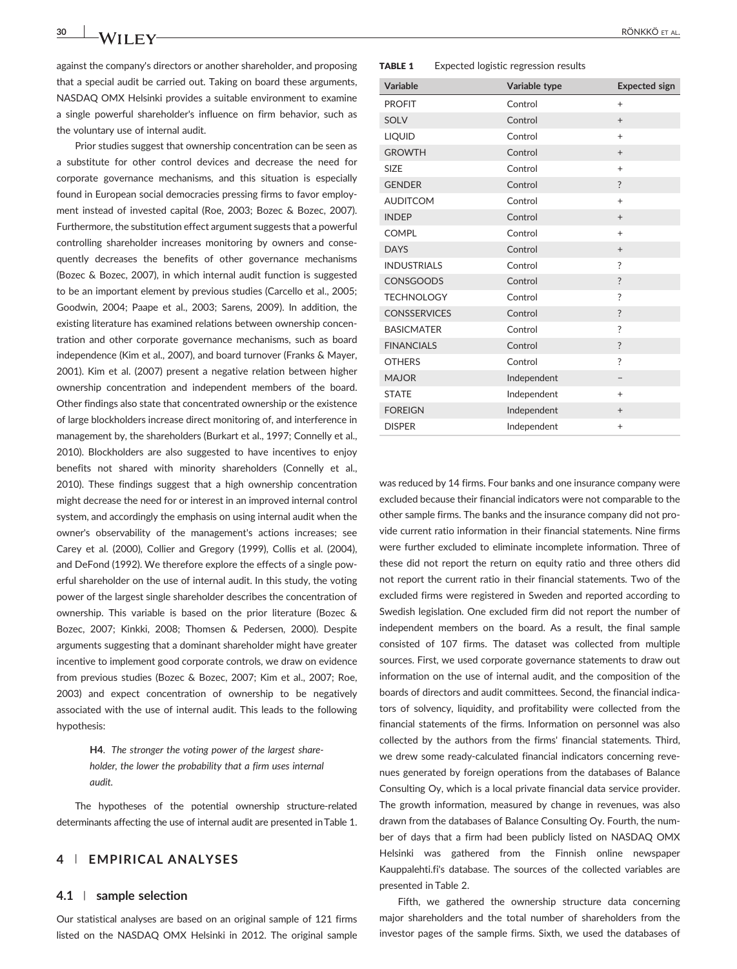against the company's directors or another shareholder, and proposing that a special audit be carried out. Taking on board these arguments, NASDAQ OMX Helsinki provides a suitable environment to examine a single powerful shareholder's influence on firm behavior, such as the voluntary use of internal audit.

Prior studies suggest that ownership concentration can be seen as a substitute for other control devices and decrease the need for corporate governance mechanisms, and this situation is especially found in European social democracies pressing firms to favor employment instead of invested capital (Roe, 2003; Bozec & Bozec, 2007). Furthermore, the substitution effect argument suggests that a powerful controlling shareholder increases monitoring by owners and consequently decreases the benefits of other governance mechanisms (Bozec & Bozec, 2007), in which internal audit function is suggested to be an important element by previous studies (Carcello et al., 2005; Goodwin, 2004; Paape et al., 2003; Sarens, 2009). In addition, the existing literature has examined relations between ownership concentration and other corporate governance mechanisms, such as board independence (Kim et al., 2007), and board turnover (Franks & Mayer, 2001). Kim et al. (2007) present a negative relation between higher ownership concentration and independent members of the board. Other findings also state that concentrated ownership or the existence of large blockholders increase direct monitoring of, and interference in management by, the shareholders (Burkart et al., 1997; Connelly et al., 2010). Blockholders are also suggested to have incentives to enjoy benefits not shared with minority shareholders (Connelly et al., 2010). These findings suggest that a high ownership concentration might decrease the need for or interest in an improved internal control system, and accordingly the emphasis on using internal audit when the owner's observability of the management's actions increases; see Carey et al. (2000), Collier and Gregory (1999), Collis et al. (2004), and DeFond (1992). We therefore explore the effects of a single powerful shareholder on the use of internal audit. In this study, the voting power of the largest single shareholder describes the concentration of ownership. This variable is based on the prior literature (Bozec & Bozec, 2007; Kinkki, 2008; Thomsen & Pedersen, 2000). Despite arguments suggesting that a dominant shareholder might have greater incentive to implement good corporate controls, we draw on evidence from previous studies (Bozec & Bozec, 2007; Kim et al., 2007; Roe, 2003) and expect concentration of ownership to be negatively associated with the use of internal audit. This leads to the following hypothesis:

> H4. The stronger the voting power of the largest shareholder, the lower the probability that a firm uses internal audit.

The hypotheses of the potential ownership structure‐related determinants affecting the use of internal audit are presented inTable 1.

# 4 | EMPIRICAL ANALYSES

#### 4.1 | sample selection

Our statistical analyses are based on an original sample of 121 firms listed on the NASDAQ OMX Helsinki in 2012. The original sample

#### TABLE 1 Expected logistic regression results

| <b>Variable</b>     | Variable type | <b>Expected sign</b> |
|---------------------|---------------|----------------------|
| <b>PROFIT</b>       | Control       | $^{+}$               |
| SOLV                | Control       | $^{+}$               |
| <b>LIQUID</b>       | Control       | $\ddot{}$            |
| <b>GROWTH</b>       | Control       | $+$                  |
| <b>SIZE</b>         | Control       | $^{+}$               |
| <b>GENDER</b>       | Control       | $\overline{\cdot}$   |
| <b>AUDITCOM</b>     | Control       | $^{+}$               |
| <b>INDEP</b>        | Control       | $+$                  |
| <b>COMPL</b>        | Control       | $\ddot{}$            |
| <b>DAYS</b>         | Control       | $+$                  |
| <b>INDUSTRIALS</b>  | Control       | ?                    |
| <b>CONSGOODS</b>    | Control       | $\ddot{?}$           |
| <b>TECHNOLOGY</b>   | Control       | ?                    |
| <b>CONSSERVICES</b> | Control       | $\overline{?}$       |
| <b>BASICMATER</b>   | Control       | ?                    |
| <b>FINANCIALS</b>   | Control       | $\ddot{?}$           |
| <b>OTHERS</b>       | Control       | ?                    |
| <b>MAJOR</b>        | Independent   |                      |
| <b>STATE</b>        | Independent   | $\ddot{}$            |
| <b>FOREIGN</b>      | Independent   | $+$                  |
| <b>DISPER</b>       | Independent   | $^{+}$               |

was reduced by 14 firms. Four banks and one insurance company were excluded because their financial indicators were not comparable to the other sample firms. The banks and the insurance company did not provide current ratio information in their financial statements. Nine firms were further excluded to eliminate incomplete information. Three of these did not report the return on equity ratio and three others did not report the current ratio in their financial statements. Two of the excluded firms were registered in Sweden and reported according to Swedish legislation. One excluded firm did not report the number of independent members on the board. As a result, the final sample consisted of 107 firms. The dataset was collected from multiple sources. First, we used corporate governance statements to draw out information on the use of internal audit, and the composition of the boards of directors and audit committees. Second, the financial indicators of solvency, liquidity, and profitability were collected from the financial statements of the firms. Information on personnel was also collected by the authors from the firms' financial statements. Third, we drew some ready-calculated financial indicators concerning revenues generated by foreign operations from the databases of Balance Consulting Oy, which is a local private financial data service provider. The growth information, measured by change in revenues, was also drawn from the databases of Balance Consulting Oy. Fourth, the number of days that a firm had been publicly listed on NASDAQ OMX Helsinki was gathered from the Finnish online newspaper Kauppalehti.fi's database. The sources of the collected variables are presented in Table 2.

Fifth, we gathered the ownership structure data concerning major shareholders and the total number of shareholders from the investor pages of the sample firms. Sixth, we used the databases of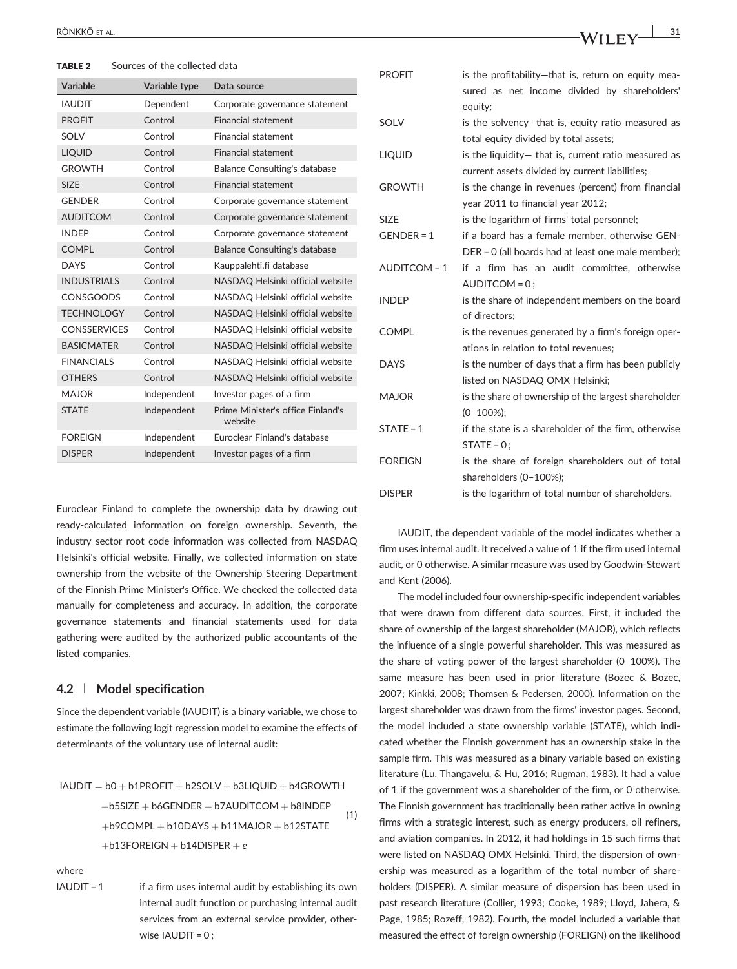TABLE 2 Sources of the collected data

| Variable            | Variable type | Data source                                  |
|---------------------|---------------|----------------------------------------------|
| <b>IAUDIT</b>       | Dependent     | Corporate governance statement               |
| <b>PROFIT</b>       | Control       | <b>Financial statement</b>                   |
| SOI V               | Control       | <b>Financial statement</b>                   |
| <b>LIQUID</b>       | Control       | <b>Financial statement</b>                   |
| <b>GROWTH</b>       | Control       | <b>Balance Consulting's database</b>         |
| SI <sub>7</sub> F   | Control       | <b>Financial statement</b>                   |
| <b>GENDER</b>       | Control       | Corporate governance statement               |
| <b>AUDITCOM</b>     | Control       | Corporate governance statement               |
| <b>INDEP</b>        | Control       | Corporate governance statement               |
| <b>COMPL</b>        | Control       | <b>Balance Consulting's database</b>         |
| <b>DAYS</b>         | Control       | Kauppalehti.fi database                      |
| <b>INDUSTRIALS</b>  | Control       | NASDAQ Helsinki official website             |
| <b>CONSGOODS</b>    | Control       | NASDAQ Helsinki official website             |
| <b>TECHNOLOGY</b>   | Control       | NASDAQ Helsinki official website             |
| <b>CONSSERVICES</b> | Control       | NASDAQ Helsinki official website             |
| <b>BASICMATER</b>   | Control       | NASDAQ Helsinki official website             |
| <b>FINANCIALS</b>   | Control       | NASDAQ Helsinki official website             |
| <b>OTHERS</b>       | Control       | NASDAQ Helsinki official website             |
| <b>MAJOR</b>        | Independent   | Investor pages of a firm                     |
| <b>STATF</b>        | Independent   | Prime Minister's office Finland's<br>website |
| <b>FOREIGN</b>      | Independent   | Euroclear Finland's database                 |
| <b>DISPER</b>       | Independent   | Investor pages of a firm                     |

Euroclear Finland to complete the ownership data by drawing out ready‐calculated information on foreign ownership. Seventh, the industry sector root code information was collected from NASDAQ Helsinki's official website. Finally, we collected information on state ownership from the website of the Ownership Steering Department of the Finnish Prime Minister's Office. We checked the collected data manually for completeness and accuracy. In addition, the corporate governance statements and financial statements used for data gathering were audited by the authorized public accountants of the listed companies.

# 4.2 | Model specification

Since the dependent variable (IAUDIT) is a binary variable, we chose to estimate the following logit regression model to examine the effects of determinants of the voluntary use of internal audit:

$$
IAUDIT = b0 + b1PROFIT + b2SOLV + b3LIQUID + b4GROWTH + b5SIZE + b6GENDER + b7AUDITCOM + b8INDEPENDER + b43NDEP + b9COMPL + b10DAYS + b11MAJOR + b12STATE + b13FOREIGN + b14DISPER + e
$$
\n(1)

where

 $I$ AUDIT = 1 if a firm uses internal audit by establishing its own internal audit function or purchasing internal audit services from an external service provider, otherwise IAUDIT = 0;

| <b>PROFIT</b>  | is the profitability-that is, return on equity mea-<br>sured as net income divided by shareholders' |  |  |  |  |  |
|----------------|-----------------------------------------------------------------------------------------------------|--|--|--|--|--|
|                | equity;                                                                                             |  |  |  |  |  |
| SOLV           | is the solvency-that is, equity ratio measured as                                                   |  |  |  |  |  |
|                | total equity divided by total assets;                                                               |  |  |  |  |  |
| <b>LIQUID</b>  | is the liquidity- that is, current ratio measured as                                                |  |  |  |  |  |
|                | current assets divided by current liabilities;                                                      |  |  |  |  |  |
| <b>GROWTH</b>  | is the change in revenues (percent) from financial                                                  |  |  |  |  |  |
|                | year 2011 to financial year 2012;                                                                   |  |  |  |  |  |
| <b>SIZE</b>    | is the logarithm of firms' total personnel;                                                         |  |  |  |  |  |
| $GENDER = 1$   | if a board has a female member, otherwise GEN-                                                      |  |  |  |  |  |
|                | $DER = 0$ (all boards had at least one male member);                                                |  |  |  |  |  |
| AUDITCOM = 1   | if a firm has an audit committee, otherwise                                                         |  |  |  |  |  |
|                | $AUDITCOM = 0$ ;                                                                                    |  |  |  |  |  |
| <b>INDEP</b>   | is the share of independent members on the board                                                    |  |  |  |  |  |
|                | of directors:                                                                                       |  |  |  |  |  |
| <b>COMPL</b>   | is the revenues generated by a firm's foreign oper-                                                 |  |  |  |  |  |
|                | ations in relation to total revenues;                                                               |  |  |  |  |  |
| <b>DAYS</b>    | is the number of days that a firm has been publicly                                                 |  |  |  |  |  |
|                | listed on NASDAQ OMX Helsinki;                                                                      |  |  |  |  |  |
| <b>MAJOR</b>   | is the share of ownership of the largest shareholder                                                |  |  |  |  |  |
|                | $(0-100\%);$                                                                                        |  |  |  |  |  |
| $STATE = 1$    | if the state is a shareholder of the firm, otherwise                                                |  |  |  |  |  |
|                | $STATE = 0$                                                                                         |  |  |  |  |  |
| <b>FOREIGN</b> | is the share of foreign shareholders out of total                                                   |  |  |  |  |  |
|                | shareholders (0-100%);                                                                              |  |  |  |  |  |
| <b>DISPER</b>  | is the logarithm of total number of shareholders.                                                   |  |  |  |  |  |

IAUDIT, the dependent variable of the model indicates whether a firm uses internal audit. It received a value of 1 if the firm used internal audit, or 0 otherwise. A similar measure was used by Goodwin‐Stewart and Kent (2006).

The model included four ownership‐specific independent variables that were drawn from different data sources. First, it included the share of ownership of the largest shareholder (MAJOR), which reflects the influence of a single powerful shareholder. This was measured as the share of voting power of the largest shareholder (0–100%). The same measure has been used in prior literature (Bozec & Bozec, 2007; Kinkki, 2008; Thomsen & Pedersen, 2000). Information on the largest shareholder was drawn from the firms' investor pages. Second, the model included a state ownership variable (STATE), which indicated whether the Finnish government has an ownership stake in the sample firm. This was measured as a binary variable based on existing literature (Lu, Thangavelu, & Hu, 2016; Rugman, 1983). It had a value of 1 if the government was a shareholder of the firm, or 0 otherwise. The Finnish government has traditionally been rather active in owning firms with a strategic interest, such as energy producers, oil refiners, and aviation companies. In 2012, it had holdings in 15 such firms that were listed on NASDAQ OMX Helsinki. Third, the dispersion of ownership was measured as a logarithm of the total number of shareholders (DISPER). A similar measure of dispersion has been used in past research literature (Collier, 1993; Cooke, 1989; Lloyd, Jahera, & Page, 1985; Rozeff, 1982). Fourth, the model included a variable that measured the effect of foreign ownership (FOREIGN) on the likelihood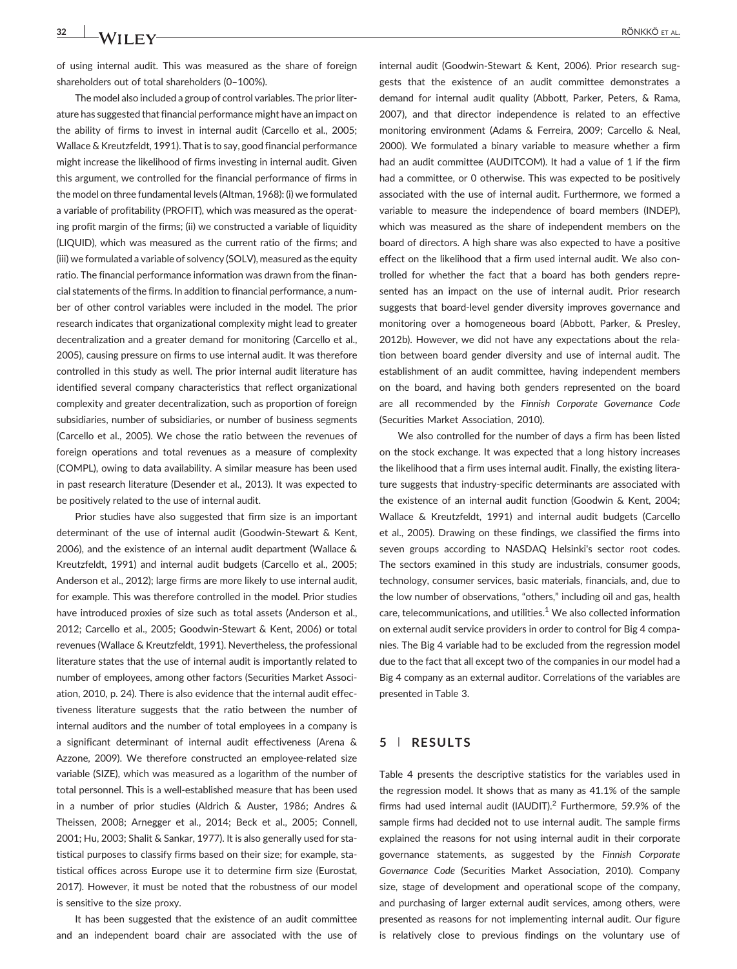of using internal audit. This was measured as the share of foreign shareholders out of total shareholders (0–100%).

The model also included a group of control variables. The prior literature has suggested that financial performance might have an impact on the ability of firms to invest in internal audit (Carcello et al., 2005; Wallace & Kreutzfeldt, 1991). That is to say, good financial performance might increase the likelihood of firms investing in internal audit. Given this argument, we controlled for the financial performance of firms in the model on three fundamental levels (Altman, 1968): (i) we formulated a variable of profitability (PROFIT), which was measured as the operating profit margin of the firms; (ii) we constructed a variable of liquidity (LIQUID), which was measured as the current ratio of the firms; and (iii) we formulated a variable of solvency (SOLV), measured as the equity ratio. The financial performance information was drawn from the financial statements of the firms. In addition to financial performance, a number of other control variables were included in the model. The prior research indicates that organizational complexity might lead to greater decentralization and a greater demand for monitoring (Carcello et al., 2005), causing pressure on firms to use internal audit. It was therefore controlled in this study as well. The prior internal audit literature has identified several company characteristics that reflect organizational complexity and greater decentralization, such as proportion of foreign subsidiaries, number of subsidiaries, or number of business segments (Carcello et al., 2005). We chose the ratio between the revenues of foreign operations and total revenues as a measure of complexity (COMPL), owing to data availability. A similar measure has been used in past research literature (Desender et al., 2013). It was expected to be positively related to the use of internal audit.

Prior studies have also suggested that firm size is an important determinant of the use of internal audit (Goodwin‐Stewart & Kent, 2006), and the existence of an internal audit department (Wallace & Kreutzfeldt, 1991) and internal audit budgets (Carcello et al., 2005; Anderson et al., 2012); large firms are more likely to use internal audit, for example. This was therefore controlled in the model. Prior studies have introduced proxies of size such as total assets (Anderson et al., 2012; Carcello et al., 2005; Goodwin‐Stewart & Kent, 2006) or total revenues (Wallace & Kreutzfeldt, 1991). Nevertheless, the professional literature states that the use of internal audit is importantly related to number of employees, among other factors (Securities Market Association, 2010, p. 24). There is also evidence that the internal audit effectiveness literature suggests that the ratio between the number of internal auditors and the number of total employees in a company is a significant determinant of internal audit effectiveness (Arena & Azzone, 2009). We therefore constructed an employee-related size variable (SIZE), which was measured as a logarithm of the number of total personnel. This is a well‐established measure that has been used in a number of prior studies (Aldrich & Auster, 1986; Andres & Theissen, 2008; Arnegger et al., 2014; Beck et al., 2005; Connell, 2001; Hu, 2003; Shalit & Sankar, 1977). It is also generally used for statistical purposes to classify firms based on their size; for example, statistical offices across Europe use it to determine firm size (Eurostat, 2017). However, it must be noted that the robustness of our model is sensitive to the size proxy.

It has been suggested that the existence of an audit committee and an independent board chair are associated with the use of

internal audit (Goodwin‐Stewart & Kent, 2006). Prior research suggests that the existence of an audit committee demonstrates a demand for internal audit quality (Abbott, Parker, Peters, & Rama, 2007), and that director independence is related to an effective monitoring environment (Adams & Ferreira, 2009; Carcello & Neal, 2000). We formulated a binary variable to measure whether a firm had an audit committee (AUDITCOM). It had a value of 1 if the firm had a committee, or 0 otherwise. This was expected to be positively associated with the use of internal audit. Furthermore, we formed a variable to measure the independence of board members (INDEP), which was measured as the share of independent members on the board of directors. A high share was also expected to have a positive effect on the likelihood that a firm used internal audit. We also controlled for whether the fact that a board has both genders represented has an impact on the use of internal audit. Prior research suggests that board‐level gender diversity improves governance and monitoring over a homogeneous board (Abbott, Parker, & Presley, 2012b). However, we did not have any expectations about the relation between board gender diversity and use of internal audit. The establishment of an audit committee, having independent members on the board, and having both genders represented on the board are all recommended by the Finnish Corporate Governance Code (Securities Market Association, 2010).

We also controlled for the number of days a firm has been listed on the stock exchange. It was expected that a long history increases the likelihood that a firm uses internal audit. Finally, the existing literature suggests that industry‐specific determinants are associated with the existence of an internal audit function (Goodwin & Kent, 2004; Wallace & Kreutzfeldt, 1991) and internal audit budgets (Carcello et al., 2005). Drawing on these findings, we classified the firms into seven groups according to NASDAQ Helsinki's sector root codes. The sectors examined in this study are industrials, consumer goods, technology, consumer services, basic materials, financials, and, due to the low number of observations, "others," including oil and gas, health care, telecommunications, and utilities.<sup>1</sup> We also collected information on external audit service providers in order to control for Big 4 companies. The Big 4 variable had to be excluded from the regression model due to the fact that all except two of the companies in our model had a Big 4 company as an external auditor. Correlations of the variables are presented in Table 3.

#### 5 | RESULTS

Table 4 presents the descriptive statistics for the variables used in the regression model. It shows that as many as 41.1% of the sample firms had used internal audit (IAUDIT).<sup>2</sup> Furthermore, 59.9% of the sample firms had decided not to use internal audit. The sample firms explained the reasons for not using internal audit in their corporate governance statements, as suggested by the Finnish Corporate Governance Code (Securities Market Association, 2010). Company size, stage of development and operational scope of the company, and purchasing of larger external audit services, among others, were presented as reasons for not implementing internal audit. Our figure is relatively close to previous findings on the voluntary use of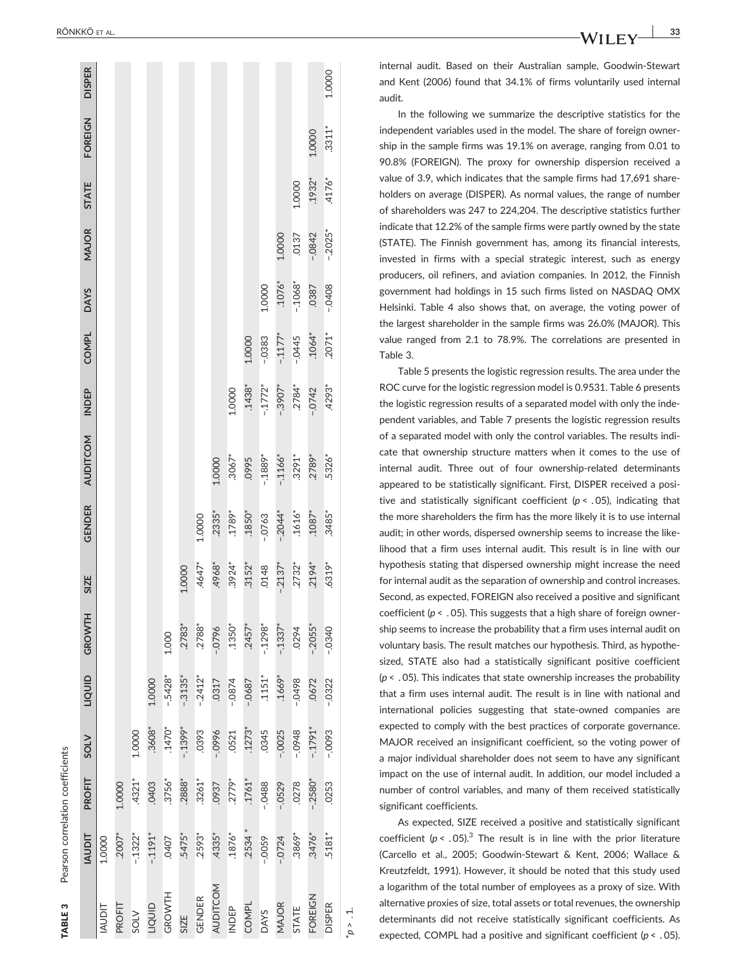| l                    |
|----------------------|
| $\ddot{\phantom{a}}$ |
| $\frac{1}{1}$<br>ı   |
| ۱<br>ļ               |

|                    | <b>TIQUAI</b> | PROFIT     | <b>SOLV</b> | TIQUID     | GROWTH               | SIZE     | GENDER    | <b>AUDITCOM</b> | <b>INDEP</b> | <b>COMPL</b> | <b>DAYS</b> | MAJOR     | <b>STATE</b> | <b>FOREIGN</b> | <b>DISPER</b> |
|--------------------|---------------|------------|-------------|------------|----------------------|----------|-----------|-----------------|--------------|--------------|-------------|-----------|--------------|----------------|---------------|
| <b>TIGNAI</b>      | 1.0000        |            |             |            |                      |          |           |                 |              |              |             |           |              |                |               |
| PROFIT             | $.2007*$      | 1.0000     |             |            |                      |          |           |                 |              |              |             |           |              |                |               |
| <b>SOLV</b>        | $-1322*$      | $.4321*$   | 1.0000      |            |                      |          |           |                 |              |              |             |           |              |                |               |
| TIQUID             | $-1191*$      | 0403       | .3608*      | 1.0000     |                      |          |           |                 |              |              |             |           |              |                |               |
| GROWTH             | 0407          | $.3756*$   | $.1470*$    | $-5428*$   | 1.000                |          |           |                 |              |              |             |           |              |                |               |
| SIZE               | .5475*        | $.2888*$   | $-0.1399*$  | $-0.3135*$ | .2783*               | 1.0000   |           |                 |              |              |             |           |              |                |               |
| <b>GENDER</b>      | $.2593*$      | $.3261*$   | .0393       | $-2412*$   | $.2788*$             | $.4647*$ | 1.0000    |                 |              |              |             |           |              |                |               |
| <b>AUDITCOM</b>    | .4335*        | .0937      | $9660 -$    | .0317      | $-0796$              | .4968*   | $.2335*$  | 1.0000          |              |              |             |           |              |                |               |
| <b>INDEP</b>       | $.1876*$      | $.2779*$   | .0521       | $-0874$    | $.1350*$             | $.3924*$ | $.1789*$  | $.3067*$        | 1.0000       |              |             |           |              |                |               |
| <b>COMPL</b>       | $.2534*$      | $.1761*$   | $.1273*$    | $-0687$    | $.2457*$             | $.3152*$ | $.1850*$  | .0995           | $.1438*$     | 1.0000       |             |           |              |                |               |
| <b>DAYS</b>        | $-0059$       | $-0488$    | .0345       | $.1151*$   | $-1298*$             | 0148     | $-0.0763$ | $-1889*$        | $-1772*$     | $-0383$      | 1.0000      |           |              |                |               |
| MAJOR              | $-0.0724$     | $-0529$    | $-0.0025$   | $.1669*$   | $-1337$ <sup>*</sup> | $-2137*$ | $-2044*$  | $-.1166*$       | $-0.3907*$   | $-1177*$     | $.1076*$    | 1.0000    |              |                |               |
| <b>STATE</b>       | $.3869*$      | .0278      | $-0.0948$   | $-0498$    | .0294                | $.2732*$ | $.1616*$  | $.3291*$        | $.2784*$     | $-0.445$     | $-.1068*$   | .0137     | 1.0000       |                |               |
| FOREIGN            | $.3476*$      | $-0.2580*$ | $-1791*$    | .0672      | $-2055*$             | $.2194*$ | $.1087*$  | .2789*          | $-0.0742$    | $.1064*$     | .0387       | $-.0842$  | $.1932*$     | 1.0000         |               |
| <b>DISPER</b>      | .5181*        | .0253      | $-0093$     | $-0322$    | $-0340$              | $.6319*$ | .3485*    | .5326*          | .4293*       | $.2071*$     | $-0408$     | $-0.2025$ | $.4176*$     | $.3311*$       | 1.0000        |
| $\frac{1}{p}$ > 1. |               |            |             |            |                      |          |           |                 |              |              |             |           |              |                |               |

internal audit. Based on their Australian sample, Goodwin ‐Stewart and Kent (2006) found that 34.1% of firms voluntarily used internal audit.

In the following we summarize the descriptive statistics for the independent variables used in the model. The share of foreign ownership in the sample firms was 19.1% on average, ranging from 0.01 to 90.8% (FOREIGN). The proxy for ownership dispersion received a value of 3.9, which indicates that the sample firms had 17,691 shareholders on average (DISPER). As normal values, the range of number of shareholders was 247 to 224,204. The descriptive statistics further indicate that 12.2% of the sample firms were partly owned by the state (STATE). The Finnish government has, among its financial interests, invested in firms with a special strategic interest, such as energy producers, oil refiners, and aviation companies. In 2012, the Finnish government had holdings in 15 such firms listed on NASDAQ OMX Helsinki. Table 4 also shows that, on average, the voting power of the largest shareholder in the sample firms was 26.0% (MAJOR). This value ranged from 2.1 to 78.9%. The correlations are presented in Table 3.

Table 5 presents the logistic regression results. The area under the ROC curve for the logistic regression model is 0.9531. Table 6 presents the logistic regression results of a separated model with only the independent variables, and Table 7 presents the logistic regression results of a separated model with only the control variables. The results indicate that ownership structure matters when it comes to the use of internal audit. Three out of four ownership ‐related determinants appeared to be statistically significant. First, DISPER received a positive and statistically significant coefficient ( $p < .05$ ), indicating that the more shareholders the firm has the more likely it is to use internal audit; in other words, dispersed ownership seems to increase the likelihood that a firm uses internal audit. This result is in line with our hypothesis stating that dispersed ownership might increase the need for internal audit as the separation of ownership and control increases. Second, as expected, FOREIGN also received a positive and significant coefficient ( $p < .05$ ). This suggests that a high share of foreign ownership seems to increase the probability that a firm uses internal audit on voluntary basis. The result matches our hypothesis. Third, as hypothesized, STATE also had a statistically significant positive coefficient  $(p < .05)$ . This indicates that state ownership increases the probability that a firm uses internal audit. The result is in line with national and international policies suggesting that state ‐owned companies are expected to comply with the best practices of corporate governance. MAJOR received an insignificant coefficient, so the voting power of a major individual shareholder does not seem to have any significant impact on the use of internal audit. In addition, our model included a number of control variables, and many of them received statistically significant coefficients.

As expected, SIZE received a positive and statistically significant coefficient ( $p < .05$ ).<sup>3</sup> The result is in line with the prior literature (Carcello et al., 2005; Goodwin-Stewart & Kent, 2006; Wallace & Kreutzfeldt, 1991). However, it should be noted that this study used a logarithm of the total number of employees as a proxy of size. With alternative proxies of size, total assets or total revenues, the ownership determinants did not receive statistically significant coefficients. As expected, COMPL had a positive and significant coefficient ( $p < .05$ ).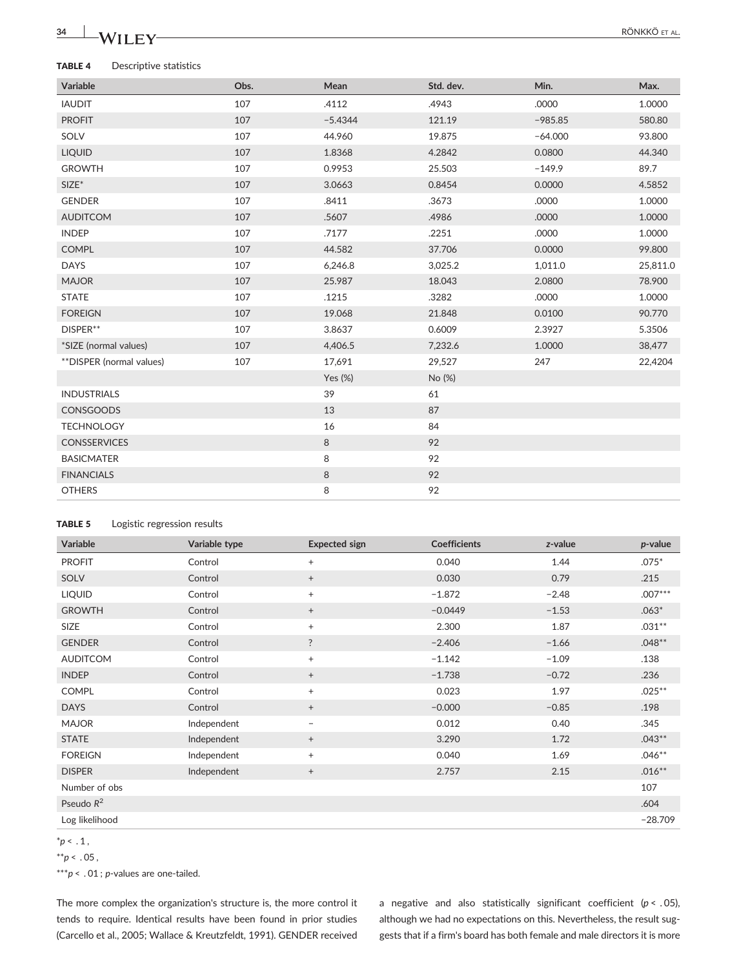# 34 NA/TI**EX**

#### TABLE 4 Descriptive statistics

| Variable                 | Obs. | Mean       | Std. dev. | Min.      | Max.     |
|--------------------------|------|------------|-----------|-----------|----------|
| <b>IAUDIT</b>            | 107  | .4112      | .4943     | .0000     | 1.0000   |
| <b>PROFIT</b>            | 107  | $-5.4344$  | 121.19    | $-985.85$ | 580.80   |
| SOLV                     | 107  | 44.960     | 19.875    | $-64.000$ | 93.800   |
| <b>LIQUID</b>            | 107  | 1.8368     | 4.2842    | 0.0800    | 44.340   |
| <b>GROWTH</b>            | 107  | 0.9953     | 25.503    | $-149.9$  | 89.7     |
| $SIZE^*$                 | 107  | 3.0663     | 0.8454    | 0.0000    | 4.5852   |
| <b>GENDER</b>            | 107  | .8411      | .3673     | .0000     | 1.0000   |
| <b>AUDITCOM</b>          | 107  | .5607      | .4986     | .0000     | 1.0000   |
| <b>INDEP</b>             | 107  | .7177      | .2251     | .0000     | 1.0000   |
| <b>COMPL</b>             | 107  | 44.582     | 37.706    | 0.0000    | 99.800   |
| <b>DAYS</b>              | 107  | 6,246.8    | 3,025.2   | 1,011.0   | 25,811.0 |
| <b>MAJOR</b>             | 107  | 25.987     | 18.043    | 2.0800    | 78.900   |
| <b>STATE</b>             | 107  | .1215      | .3282     | .0000     | 1.0000   |
| <b>FOREIGN</b>           | 107  | 19.068     | 21.848    | 0.0100    | 90.770   |
| DISPER**                 | 107  | 3.8637     | 0.6009    | 2.3927    | 5.3506   |
| *SIZE (normal values)    | 107  | 4,406.5    | 7,232.6   | 1.0000    | 38,477   |
| **DISPER (normal values) | 107  | 17,691     | 29,527    | 247       | 22,4204  |
|                          |      | Yes $(\%)$ | No (%)    |           |          |
| <b>INDUSTRIALS</b>       |      | 39         | 61        |           |          |
| <b>CONSGOODS</b>         |      | 13         | 87        |           |          |
| <b>TECHNOLOGY</b>        |      | 16         | 84        |           |          |
| <b>CONSSERVICES</b>      |      | 8          | 92        |           |          |
| <b>BASICMATER</b>        |      | 8          | 92        |           |          |
| <b>FINANCIALS</b>        |      | $\,8\,$    | 92        |           |          |
| <b>OTHERS</b>            |      | 8          | 92        |           |          |

### TABLE 5 Logistic regression results

| Variable        | Variable type | <b>Expected sign</b>     | <b>Coefficients</b> | z-value | $p$ -value |
|-----------------|---------------|--------------------------|---------------------|---------|------------|
| <b>PROFIT</b>   | Control       | $+$                      | 0.040               | 1.44    | $.075*$    |
| SOLV            | Control       | $^{+}$                   | 0.030               | 0.79    | .215       |
| <b>LIQUID</b>   | Control       | $+$                      | $-1.872$            | $-2.48$ | $.007***$  |
| <b>GROWTH</b>   | Control       | $^{+}$                   | $-0.0449$           | $-1.53$ | $.063*$    |
| SIZE            | Control       | $^{+}$                   | 2.300               | 1.87    | $.031**$   |
| <b>GENDER</b>   | Control       | $\ddot{?}$               | $-2.406$            | $-1.66$ | $.048**$   |
| <b>AUDITCOM</b> | Control       | $^{+}$                   | $-1.142$            | $-1.09$ | .138       |
| <b>INDEP</b>    | Control       | $^{+}$                   | $-1.738$            | $-0.72$ | .236       |
| <b>COMPL</b>    | Control       | $^{+}$                   | 0.023               | 1.97    | $.025***$  |
| <b>DAYS</b>     | Control       | $^{+}$                   | $-0.000$            | $-0.85$ | .198       |
| <b>MAJOR</b>    | Independent   | $\overline{\phantom{m}}$ | 0.012               | 0.40    | .345       |
| <b>STATE</b>    | Independent   | $^{+}$                   | 3.290               | 1.72    | $.043**$   |
| <b>FOREIGN</b>  | Independent   | $^{+}$                   | 0.040               | 1.69    | $.046**$   |
| <b>DISPER</b>   | Independent   | $^{+}$                   | 2.757               | 2.15    | $.016***$  |
| Number of obs   |               |                          |                     |         | 107        |
| Pseudo $R^2$    |               |                          |                     |         | .604       |
| Log likelihood  |               |                          |                     |         | $-28.709$  |

 $*p < .1$ ,

 $*^{*}p < .05$ ,

\*\*\* $p < .01$ ;  $p$ -values are one-tailed.

The more complex the organization's structure is, the more control it tends to require. Identical results have been found in prior studies (Carcello et al., 2005; Wallace & Kreutzfeldt, 1991). GENDER received a negative and also statistically significant coefficient ( $p < .05$ ), although we had no expectations on this. Nevertheless, the result suggests that if a firm's board has both female and male directors it is more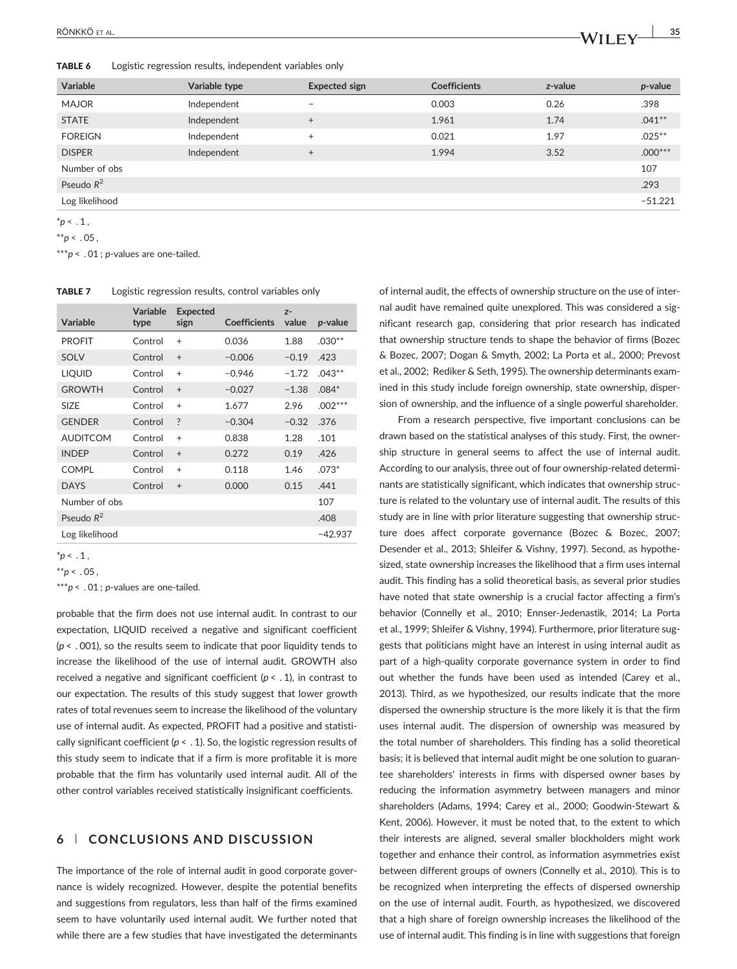TABLE 6 Logistic regression results, independent variables only

| <b>Variable</b> | Variable type | <b>Expected sign</b> | <b>Coefficients</b> | z-value | $p$ -value |
|-----------------|---------------|----------------------|---------------------|---------|------------|
| <b>MAJOR</b>    | Independent   | $\qquad \qquad$      | 0.003               | 0.26    | .398       |
| <b>STATE</b>    | Independent   | $^{+}$               | 1.961               | 1.74    | $.041**$   |
| <b>FOREIGN</b>  | Independent   | $\ddot{}$            | 0.021               | 1.97    | $.025***$  |
| <b>DISPER</b>   | Independent   | $+$                  | 1.994               | 3.52    | $.000***$  |
| Number of obs   |               |                      |                     |         | 107        |
| Pseudo $R^2$    |               |                      |                     |         | .293       |
| Log likelihood  |               |                      |                     |         | $-51.221$  |

 $*p < .1$ ,

 $*^{*}p < .05$ ,

\*\*\*p < .  $01$ ; p-values are one-tailed.

| Logistic regression results, control variables only<br><b>TABLE 7</b> |  |
|-----------------------------------------------------------------------|--|
|-----------------------------------------------------------------------|--|

| Variable        | Variable<br>type | <b>Expected</b><br>sign  | <b>Coefficients</b> | $7-$<br>value | <i>p</i> -value |
|-----------------|------------------|--------------------------|---------------------|---------------|-----------------|
| <b>PROFIT</b>   | Control          | $+$                      | 0.036               | 1.88          | $.030**$        |
| <b>SOLV</b>     | Control          | $+$                      | $-0.006$            | $-0.19$       | .423            |
| <b>LIQUID</b>   | Control          | $+$                      | $-0.946$            | $-1.72$       | $.043***$       |
| <b>GROWTH</b>   | Control          | $+$                      | $-0.027$            | $-1.38$       | $.084*$         |
| SIZE.           | Control          | $+$                      | 1.677               | 2.96          | $.002***$       |
| <b>GENDER</b>   | Control          | $\overline{\phantom{0}}$ | $-0.304$            | $-0.32$       | .376            |
| <b>AUDITCOM</b> | Control          | $+$                      | 0.838               | 1.28          | .101            |
| <b>INDEP</b>    | Control          | $+$                      | 0.272               | 0.19          | .426            |
| <b>COMPL</b>    | Control          | $+$                      | 0.118               | 1.46          | $.073*$         |
| <b>DAYS</b>     | Control          | $+$                      | 0.000               | 0.15          | .441            |
| Number of obs   |                  |                          |                     |               | 107             |
| Pseudo $R^2$    |                  |                          |                     |               | .408            |
| Log likelihood  |                  |                          |                     |               | $-42.937$       |

 $p< 1$ ,

 $*^{*}p < .05$ ,

\*\*\*p < .  $01$ ; p-values are one-tailed.

probable that the firm does not use internal audit. In contrast to our expectation, LIQUID received a negative and significant coefficient  $(p < .001)$ , so the results seem to indicate that poor liquidity tends to increase the likelihood of the use of internal audit. GROWTH also received a negative and significant coefficient ( $p < .1$ ), in contrast to our expectation. The results of this study suggest that lower growth rates of total revenues seem to increase the likelihood of the voluntary use of internal audit. As expected, PROFIT had a positive and statistically significant coefficient ( $p < .1$ ). So, the logistic regression results of this study seem to indicate that if a firm is more profitable it is more probable that the firm has voluntarily used internal audit. All of the other control variables received statistically insignificant coefficients.

# 6 | CONCLUSIONS AND DISCUSSION

The importance of the role of internal audit in good corporate governance is widely recognized. However, despite the potential benefits and suggestions from regulators, less than half of the firms examined seem to have voluntarily used internal audit. We further noted that while there are a few studies that have investigated the determinants

of internal audit, the effects of ownership structure on the use of internal audit have remained quite unexplored. This was considered a significant research gap, considering that prior research has indicated that ownership structure tends to shape the behavior of firms (Bozec & Bozec, 2007; Dogan & Smyth, 2002; La Porta et al., 2000; Prevost et al., 2002; Rediker & Seth, 1995). The ownership determinants examined in this study include foreign ownership, state ownership, dispersion of ownership, and the influence of a single powerful shareholder.

From a research perspective, five important conclusions can be drawn based on the statistical analyses of this study. First, the ownership structure in general seems to affect the use of internal audit. According to our analysis, three out of four ownership-related determinants are statistically significant, which indicates that ownership structure is related to the voluntary use of internal audit. The results of this study are in line with prior literature suggesting that ownership structure does affect corporate governance (Bozec & Bozec, 2007; Desender et al., 2013; Shleifer & Vishny, 1997). Second, as hypothesized, state ownership increases the likelihood that a firm uses internal audit. This finding has a solid theoretical basis, as several prior studies have noted that state ownership is a crucial factor affecting a firm's behavior (Connelly et al., 2010; Ennser‐Jedenastik, 2014; La Porta et al., 1999; Shleifer & Vishny, 1994). Furthermore, prior literature suggests that politicians might have an interest in using internal audit as part of a high-quality corporate governance system in order to find out whether the funds have been used as intended (Carey et al., 2013). Third, as we hypothesized, our results indicate that the more dispersed the ownership structure is the more likely it is that the firm uses internal audit. The dispersion of ownership was measured by the total number of shareholders. This finding has a solid theoretical basis; it is believed that internal audit might be one solution to guarantee shareholders' interests in firms with dispersed owner bases by reducing the information asymmetry between managers and minor shareholders (Adams, 1994; Carey et al., 2000; Goodwin‐Stewart & Kent, 2006). However, it must be noted that, to the extent to which their interests are aligned, several smaller blockholders might work together and enhance their control, as information asymmetries exist between different groups of owners (Connelly et al., 2010). This is to be recognized when interpreting the effects of dispersed ownership on the use of internal audit. Fourth, as hypothesized, we discovered that a high share of foreign ownership increases the likelihood of the use of internal audit. This finding is in line with suggestions that foreign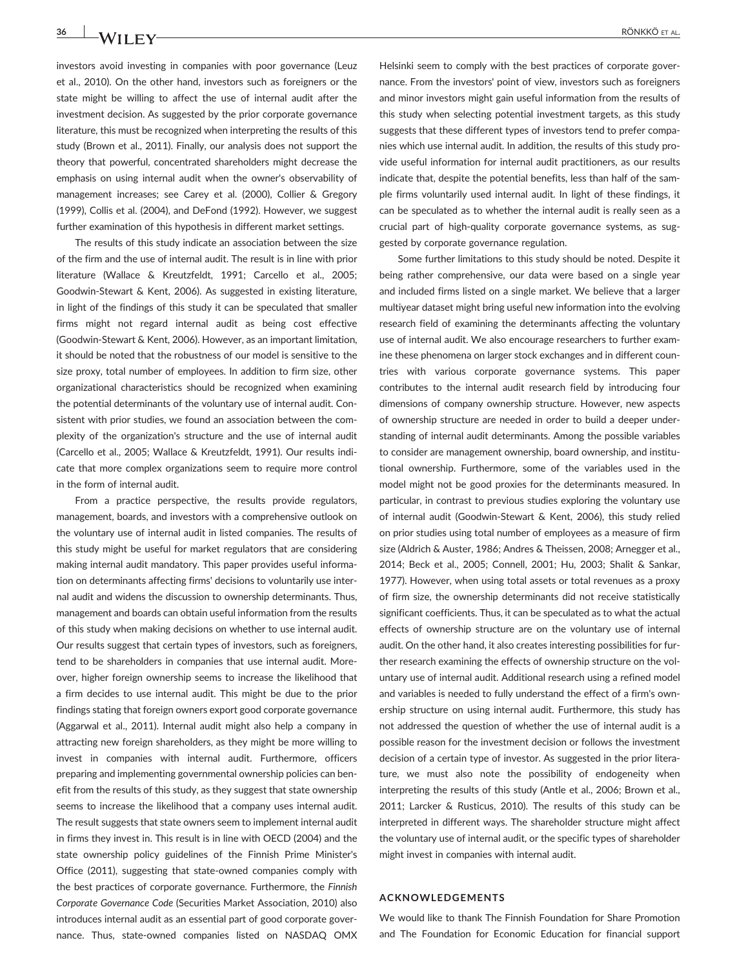investors avoid investing in companies with poor governance (Leuz et al., 2010). On the other hand, investors such as foreigners or the state might be willing to affect the use of internal audit after the investment decision. As suggested by the prior corporate governance literature, this must be recognized when interpreting the results of this study (Brown et al., 2011). Finally, our analysis does not support the theory that powerful, concentrated shareholders might decrease the emphasis on using internal audit when the owner's observability of management increases; see Carey et al. (2000), Collier & Gregory (1999), Collis et al. (2004), and DeFond (1992). However, we suggest further examination of this hypothesis in different market settings.

The results of this study indicate an association between the size of the firm and the use of internal audit. The result is in line with prior literature (Wallace & Kreutzfeldt, 1991; Carcello et al., 2005; Goodwin‐Stewart & Kent, 2006). As suggested in existing literature, in light of the findings of this study it can be speculated that smaller firms might not regard internal audit as being cost effective (Goodwin‐Stewart & Kent, 2006). However, as an important limitation, it should be noted that the robustness of our model is sensitive to the size proxy, total number of employees. In addition to firm size, other organizational characteristics should be recognized when examining the potential determinants of the voluntary use of internal audit. Consistent with prior studies, we found an association between the complexity of the organization's structure and the use of internal audit (Carcello et al., 2005; Wallace & Kreutzfeldt, 1991). Our results indicate that more complex organizations seem to require more control in the form of internal audit.

From a practice perspective, the results provide regulators, management, boards, and investors with a comprehensive outlook on the voluntary use of internal audit in listed companies. The results of this study might be useful for market regulators that are considering making internal audit mandatory. This paper provides useful information on determinants affecting firms' decisions to voluntarily use internal audit and widens the discussion to ownership determinants. Thus, management and boards can obtain useful information from the results of this study when making decisions on whether to use internal audit. Our results suggest that certain types of investors, such as foreigners, tend to be shareholders in companies that use internal audit. Moreover, higher foreign ownership seems to increase the likelihood that a firm decides to use internal audit. This might be due to the prior findings stating that foreign owners export good corporate governance (Aggarwal et al., 2011). Internal audit might also help a company in attracting new foreign shareholders, as they might be more willing to invest in companies with internal audit. Furthermore, officers preparing and implementing governmental ownership policies can benefit from the results of this study, as they suggest that state ownership seems to increase the likelihood that a company uses internal audit. The result suggests that state owners seem to implement internal audit in firms they invest in. This result is in line with OECD (2004) and the state ownership policy guidelines of the Finnish Prime Minister's Office (2011), suggesting that state‐owned companies comply with the best practices of corporate governance. Furthermore, the Finnish Corporate Governance Code (Securities Market Association, 2010) also introduces internal audit as an essential part of good corporate governance. Thus, state‐owned companies listed on NASDAQ OMX Helsinki seem to comply with the best practices of corporate governance. From the investors' point of view, investors such as foreigners and minor investors might gain useful information from the results of this study when selecting potential investment targets, as this study suggests that these different types of investors tend to prefer companies which use internal audit. In addition, the results of this study provide useful information for internal audit practitioners, as our results indicate that, despite the potential benefits, less than half of the sample firms voluntarily used internal audit. In light of these findings, it can be speculated as to whether the internal audit is really seen as a crucial part of high‐quality corporate governance systems, as suggested by corporate governance regulation.

Some further limitations to this study should be noted. Despite it being rather comprehensive, our data were based on a single year and included firms listed on a single market. We believe that a larger multiyear dataset might bring useful new information into the evolving research field of examining the determinants affecting the voluntary use of internal audit. We also encourage researchers to further examine these phenomena on larger stock exchanges and in different countries with various corporate governance systems. This paper contributes to the internal audit research field by introducing four dimensions of company ownership structure. However, new aspects of ownership structure are needed in order to build a deeper understanding of internal audit determinants. Among the possible variables to consider are management ownership, board ownership, and institutional ownership. Furthermore, some of the variables used in the model might not be good proxies for the determinants measured. In particular, in contrast to previous studies exploring the voluntary use of internal audit (Goodwin‐Stewart & Kent, 2006), this study relied on prior studies using total number of employees as a measure of firm size (Aldrich & Auster, 1986; Andres & Theissen, 2008; Arnegger et al., 2014; Beck et al., 2005; Connell, 2001; Hu, 2003; Shalit & Sankar, 1977). However, when using total assets or total revenues as a proxy of firm size, the ownership determinants did not receive statistically significant coefficients. Thus, it can be speculated as to what the actual effects of ownership structure are on the voluntary use of internal audit. On the other hand, it also creates interesting possibilities for further research examining the effects of ownership structure on the voluntary use of internal audit. Additional research using a refined model and variables is needed to fully understand the effect of a firm's ownership structure on using internal audit. Furthermore, this study has not addressed the question of whether the use of internal audit is a possible reason for the investment decision or follows the investment decision of a certain type of investor. As suggested in the prior literature, we must also note the possibility of endogeneity when interpreting the results of this study (Antle et al., 2006; Brown et al., 2011; Larcker & Rusticus, 2010). The results of this study can be interpreted in different ways. The shareholder structure might affect the voluntary use of internal audit, or the specific types of shareholder might invest in companies with internal audit.

#### ACKNOWLEDGEMENTS

We would like to thank The Finnish Foundation for Share Promotion and The Foundation for Economic Education for financial support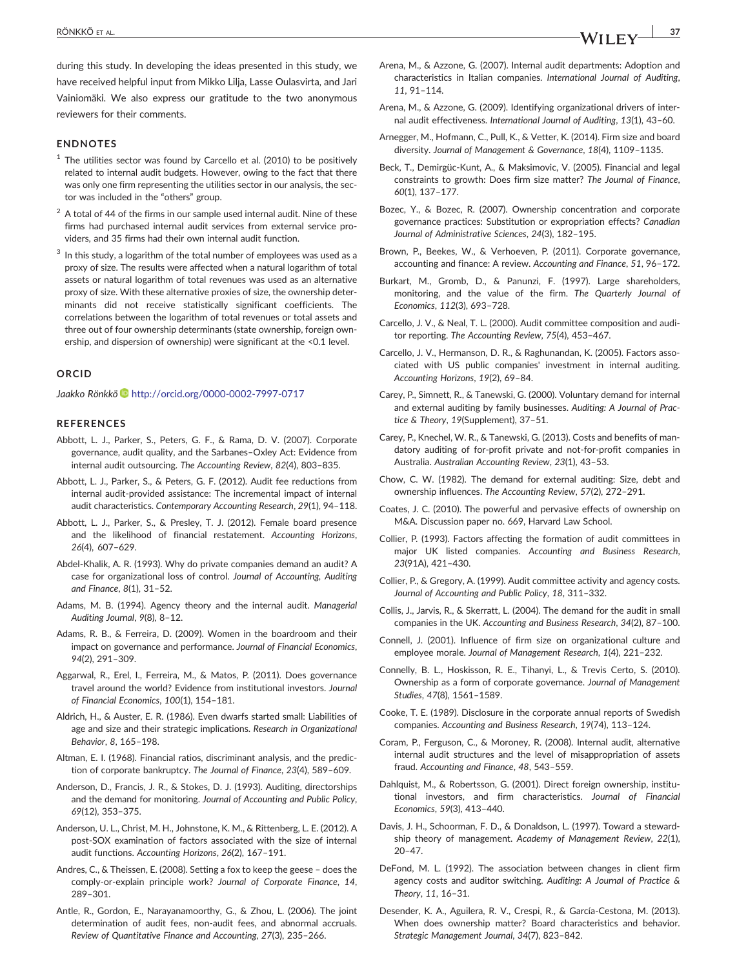#### ENDNOTES

- $1$  The utilities sector was found by Carcello et al. (2010) to be positively related to internal audit budgets. However, owing to the fact that there was only one firm representing the utilities sector in our analysis, the sector was included in the "others" group.
- $2$  A total of 44 of the firms in our sample used internal audit. Nine of these firms had purchased internal audit services from external service providers, and 35 firms had their own internal audit function.
- $3$  In this study, a logarithm of the total number of employees was used as a proxy of size. The results were affected when a natural logarithm of total assets or natural logarithm of total revenues was used as an alternative proxy of size. With these alternative proxies of size, the ownership determinants did not receive statistically significant coefficients. The correlations between the logarithm of total revenues or total assets and three out of four ownership determinants (state ownership, foreign ownership, and dispersion of ownership) were significant at the <0.1 level.

#### ORCID

Jaakko Rönkkö i <http://orcid.org/0000-0002-7997-0717>

#### **REFERENCES**

- Abbott, L. J., Parker, S., Peters, G. F., & Rama, D. V. (2007). Corporate governance, audit quality, and the Sarbanes–Oxley Act: Evidence from internal audit outsourcing. The Accounting Review, 82(4), 803–835.
- Abbott, L. J., Parker, S., & Peters, G. F. (2012). Audit fee reductions from internal audit‐provided assistance: The incremental impact of internal audit characteristics. Contemporary Accounting Research, 29(1), 94–118.
- Abbott, L. J., Parker, S., & Presley, T. J. (2012). Female board presence and the likelihood of financial restatement. Accounting Horizons, 26(4), 607–629.
- Abdel‐Khalik, A. R. (1993). Why do private companies demand an audit? A case for organizational loss of control. Journal of Accounting, Auditing and Finance, 8(1), 31–52.
- Adams, M. B. (1994). Agency theory and the internal audit. Managerial Auditing Journal, 9(8), 8–12.
- Adams, R. B., & Ferreira, D. (2009). Women in the boardroom and their impact on governance and performance. Journal of Financial Economics, 94(2), 291–309.
- Aggarwal, R., Erel, I., Ferreira, M., & Matos, P. (2011). Does governance travel around the world? Evidence from institutional investors. Journal of Financial Economics, 100(1), 154–181.
- Aldrich, H., & Auster, E. R. (1986). Even dwarfs started small: Liabilities of age and size and their strategic implications. Research in Organizational Behavior, 8, 165–198.
- Altman, E. I. (1968). Financial ratios, discriminant analysis, and the prediction of corporate bankruptcy. The Journal of Finance, 23(4), 589–609.
- Anderson, D., Francis, J. R., & Stokes, D. J. (1993). Auditing, directorships and the demand for monitoring. Journal of Accounting and Public Policy, 69(12), 353–375.
- Anderson, U. L., Christ, M. H., Johnstone, K. M., & Rittenberg, L. E. (2012). A post‐SOX examination of factors associated with the size of internal audit functions. Accounting Horizons, 26(2), 167–191.
- Andres, C., & Theissen, E. (2008). Setting a fox to keep the geese does the comply-or-explain principle work? Journal of Corporate Finance, 14, 289–301.
- Antle, R., Gordon, E., Narayanamoorthy, G., & Zhou, L. (2006). The joint determination of audit fees, non‐audit fees, and abnormal accruals. Review of Quantitative Finance and Accounting, 27(3), 235–266.
- Arena, M., & Azzone, G. (2007). Internal audit departments: Adoption and characteristics in Italian companies. International Journal of Auditing, 11, 91–114.
- Arena, M., & Azzone, G. (2009). Identifying organizational drivers of internal audit effectiveness. International Journal of Auditing, 13(1), 43–60.
- Arnegger, M., Hofmann, C., Pull, K., & Vetter, K. (2014). Firm size and board diversity. Journal of Management & Governance, 18(4), 1109–1135.
- Beck, T., Demirgüc‐Kunt, A., & Maksimovic, V. (2005). Financial and legal constraints to growth: Does firm size matter? The Journal of Finance, 60(1), 137–177.
- Bozec, Y., & Bozec, R. (2007). Ownership concentration and corporate governance practices: Substitution or expropriation effects? Canadian Journal of Administrative Sciences, 24(3), 182–195.
- Brown, P., Beekes, W., & Verhoeven, P. (2011). Corporate governance, accounting and finance: A review. Accounting and Finance, 51, 96–172.
- Burkart, M., Gromb, D., & Panunzi, F. (1997). Large shareholders, monitoring, and the value of the firm. The Quarterly Journal of Economics, 112(3), 693–728.
- Carcello, J. V., & Neal, T. L. (2000). Audit committee composition and auditor reporting. The Accounting Review, 75(4), 453–467.
- Carcello, J. V., Hermanson, D. R., & Raghunandan, K. (2005). Factors associated with US public companies' investment in internal auditing. Accounting Horizons, 19(2), 69–84.
- Carey, P., Simnett, R., & Tanewski, G. (2000). Voluntary demand for internal and external auditing by family businesses. Auditing: A Journal of Practice & Theory, 19(Supplement), 37–51.
- Carey, P., Knechel, W. R., & Tanewski, G. (2013). Costs and benefits of mandatory auditing of for‐profit private and not‐for‐profit companies in Australia. Australian Accounting Review, 23(1), 43–53.
- Chow, C. W. (1982). The demand for external auditing: Size, debt and ownership influences. The Accounting Review, 57(2), 272–291.
- Coates, J. C. (2010). The powerful and pervasive effects of ownership on M&A. Discussion paper no. 669, Harvard Law School.
- Collier, P. (1993). Factors affecting the formation of audit committees in major UK listed companies. Accounting and Business Research, 23(91A), 421–430.
- Collier, P., & Gregory, A. (1999). Audit committee activity and agency costs. Journal of Accounting and Public Policy, 18, 311–332.
- Collis, J., Jarvis, R., & Skerratt, L. (2004). The demand for the audit in small companies in the UK. Accounting and Business Research, 34(2), 87–100.
- Connell, J. (2001). Influence of firm size on organizational culture and employee morale. Journal of Management Research, 1(4), 221–232.
- Connelly, B. L., Hoskisson, R. E., Tihanyi, L., & Trevis Certo, S. (2010). Ownership as a form of corporate governance. Journal of Management Studies, 47(8), 1561–1589.
- Cooke, T. E. (1989). Disclosure in the corporate annual reports of Swedish companies. Accounting and Business Research, 19(74), 113–124.
- Coram, P., Ferguson, C., & Moroney, R. (2008). Internal audit, alternative internal audit structures and the level of misappropriation of assets fraud. Accounting and Finance, 48, 543–559.
- Dahlquist, M., & Robertsson, G. (2001). Direct foreign ownership, institutional investors, and firm characteristics. Journal of Financial Economics, 59(3), 413–440.
- Davis, J. H., Schoorman, F. D., & Donaldson, L. (1997). Toward a stewardship theory of management. Academy of Management Review, 22(1), 20–47.
- DeFond, M. L. (1992). The association between changes in client firm agency costs and auditor switching. Auditing: A Journal of Practice & Theory, 11, 16–31.
- Desender, K. A., Aguilera, R. V., Crespi, R., & García‐Cestona, M. (2013). When does ownership matter? Board characteristics and behavior. Strategic Management Journal, 34(7), 823–842.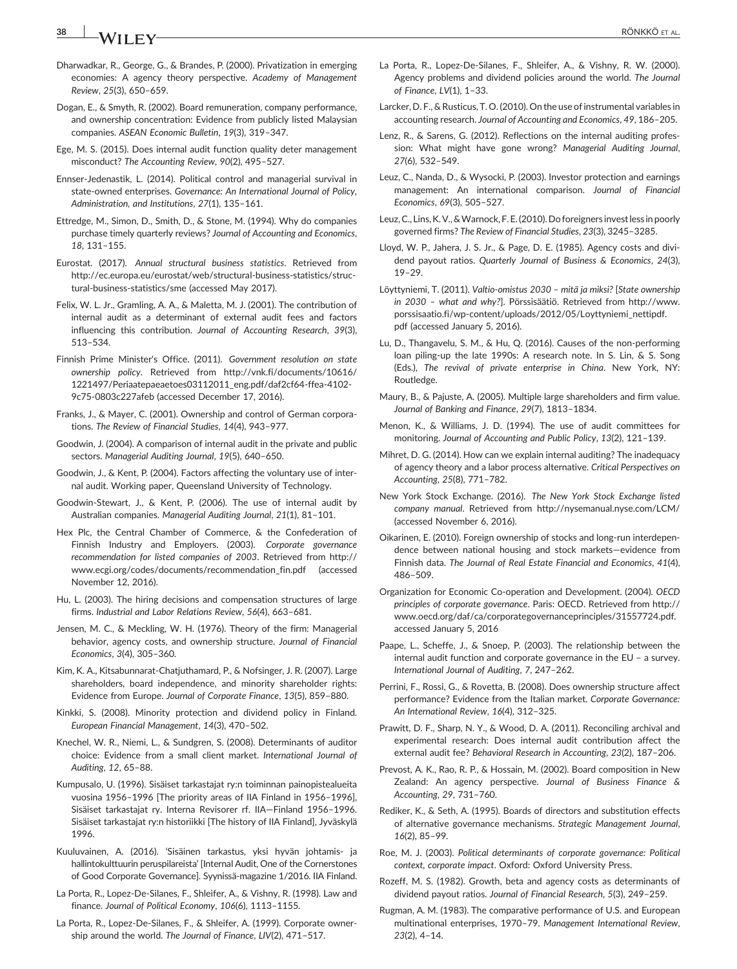# 38 NA/LLEN/

- Dharwadkar, R., George, G., & Brandes, P. (2000). Privatization in emerging economies: A agency theory perspective. Academy of Management Review, 25(3), 650–659.
- Dogan, E., & Smyth, R. (2002). Board remuneration, company performance, and ownership concentration: Evidence from publicly listed Malaysian companies. ASEAN Economic Bulletin, 19(3), 319–347.
- Ege, M. S. (2015). Does internal audit function quality deter management misconduct? The Accounting Review, 90(2), 495–527.
- Ennser‐Jedenastik, L. (2014). Political control and managerial survival in state-owned enterprises. Governance: An International Journal of Policy, Administration, and Institutions, 27(1), 135–161.
- Ettredge, M., Simon, D., Smith, D., & Stone, M. (1994). Why do companies purchase timely quarterly reviews? Journal of Accounting and Economics, 18, 131–155.
- Eurostat. (2017). Annual structural business statistics. Retrieved from [http://ec.europa.eu/eurostat/web/structural](http://ec.europa.eu/eurostat/web/structural-business-statistics/structural-business-statistics/sme)‐business‐statistics/structural‐business‐[statistics/sme](http://ec.europa.eu/eurostat/web/structural-business-statistics/structural-business-statistics/sme) (accessed May 2017).
- Felix, W. L. Jr., Gramling, A. A., & Maletta, M. J. (2001). The contribution of internal audit as a determinant of external audit fees and factors influencing this contribution. Journal of Accounting Research, 39(3), 513–534.
- Finnish Prime Minister's Office. (2011). Government resolution on state ownership policy. Retrieved from [http://vnk.fi/documents/10616/](http://vnk.fi/documents/10616/1221497/Periaatepaeaetoes03112011_eng.pdf/daf2cf64-ffea-4102-9c75-0803c227afeb) [1221497/Periaatepaeaetoes03112011\\_eng.pdf/daf2cf64](http://vnk.fi/documents/10616/1221497/Periaatepaeaetoes03112011_eng.pdf/daf2cf64-ffea-4102-9c75-0803c227afeb)‐ffea‐4102‐ 9c75‐[0803c227afeb](http://vnk.fi/documents/10616/1221497/Periaatepaeaetoes03112011_eng.pdf/daf2cf64-ffea-4102-9c75-0803c227afeb) (accessed December 17, 2016).
- Franks, J., & Mayer, C. (2001). Ownership and control of German corporations. The Review of Financial Studies, 14(4), 943–977.
- Goodwin, J. (2004). A comparison of internal audit in the private and public sectors. Managerial Auditing Journal, 19(5), 640–650.
- Goodwin, J., & Kent, P. (2004). Factors affecting the voluntary use of internal audit. Working paper, Queensland University of Technology.
- Goodwin‐Stewart, J., & Kent, P. (2006). The use of internal audit by Australian companies. Managerial Auditing Journal, 21(1), 81–101.
- Hex Plc, the Central Chamber of Commerce, & the Confederation of Finnish Industry and Employers. (2003). Corporate governance recommendation for listed companies of 2003. Retrieved from [http://](http://www.ecgi.org/codes/documents/recommendation_fin.pdf) [www.ecgi.org/codes/documents/recommendation\\_fin.pdf](http://www.ecgi.org/codes/documents/recommendation_fin.pdf) (accessed November 12, 2016).
- Hu, L. (2003). The hiring decisions and compensation structures of large firms. Industrial and Labor Relations Review, 56(4), 663–681.
- Jensen, M. C., & Meckling, W. H. (1976). Theory of the firm: Managerial behavior, agency costs, and ownership structure. Journal of Financial Economics, 3(4), 305–360.
- Kim, K. A., Kitsabunnarat‐Chatjuthamard, P., & Nofsinger, J. R. (2007). Large shareholders, board independence, and minority shareholder rights: Evidence from Europe. Journal of Corporate Finance, 13(5), 859–880.
- Kinkki, S. (2008). Minority protection and dividend policy in Finland. European Financial Management, 14(3), 470–502.
- Knechel, W. R., Niemi, L., & Sundgren, S. (2008). Determinants of auditor choice: Evidence from a small client market. International Journal of Auditing, 12, 65–88.
- Kumpusalo, U. (1996). Sisäiset tarkastajat ry:n toiminnan painopistealueita vuosina 1956–1996 [The priority areas of IIA Finland in 1956–1996], Sisäiset tarkastajat ry. Interna Revisorer rf. IIA—Finland 1956–1996. Sisäiset tarkastajat ry:n historiikki [The history of IIA Finland], Jyväskylä 1996.
- Kuuluvainen, A. (2016). 'Sisäinen tarkastus, yksi hyvän johtamis‐ ja hallintokulttuurin peruspilareista' [Internal Audit, One of the Cornerstones of Good Corporate Governance]. Syynissä‐magazine 1/2016. IIA Finland.
- La Porta, R., Lopez‐De‐Silanes, F., Shleifer, A., & Vishny, R. (1998). Law and finance. Journal of Political Economy, 106(6), 1113–1155.
- La Porta, R., Lopez‐De‐Silanes, F., & Shleifer, A. (1999). Corporate ownership around the world. The Journal of Finance, LIV(2), 471–517.
- La Porta, R., Lopez‐De‐Silanes, F., Shleifer, A., & Vishny, R. W. (2000). Agency problems and dividend policies around the world. The Journal of Finance, LV(1), 1–33.
- Larcker, D. F., & Rusticus, T. O. (2010). On the use of instrumental variables in accounting research. Journal of Accounting and Economics, 49, 186–205.
- Lenz, R., & Sarens, G. (2012). Reflections on the internal auditing profession: What might have gone wrong? Managerial Auditing Journal, 27(6), 532–549.
- Leuz, C., Nanda, D., & Wysocki, P. (2003). Investor protection and earnings management: An international comparison. Journal of Financial Economics, 69(3), 505–527.
- Leuz, C., Lins, K. V., &Warnock, F. E. (2010). Do foreigners invest less in poorly governed firms? The Review of Financial Studies, 23(3), 3245–3285.
- Lloyd, W. P., Jahera, J. S. Jr., & Page, D. E. (1985). Agency costs and dividend payout ratios. Quarterly Journal of Business & Economics, 24(3), 19–29.
- Löyttyniemi, T. (2011). Valtio-omistus 2030 mitä ja miksi? [State ownership in 2030 – what and why?]. Pörssisäätiö. Retrieved from [http://www.](http://www.porssisaatio.fi/wp-content/uploads/2012/05/Loyttyniemi_nettipdf.pdf) porssisaatio.fi/wp-[content/uploads/2012/05/Loyttyniemi\\_nettipdf.](http://www.porssisaatio.fi/wp-content/uploads/2012/05/Loyttyniemi_nettipdf.pdf) [pdf](http://www.porssisaatio.fi/wp-content/uploads/2012/05/Loyttyniemi_nettipdf.pdf) (accessed January 5, 2016).
- Lu, D., Thangavelu, S. M., & Hu, Q. (2016). Causes of the non‐performing loan piling-up the late 1990s: A research note. In S. Lin, & S. Song (Eds.), The revival of private enterprise in China. New York, NY: Routledge.
- Maury, B., & Pajuste, A. (2005). Multiple large shareholders and firm value. Journal of Banking and Finance, 29(7), 1813–1834.
- Menon, K., & Williams, J. D. (1994). The use of audit committees for monitoring. Journal of Accounting and Public Policy, 13(2), 121–139.
- Mihret, D. G. (2014). How can we explain internal auditing? The inadequacy of agency theory and a labor process alternative. Critical Perspectives on Accounting, 25(8), 771–782.
- New York Stock Exchange. (2016). The New York Stock Exchange listed company manual. Retrieved from<http://nysemanual.nyse.com/LCM/> (accessed November 6, 2016).
- Oikarinen, E. (2010). Foreign ownership of stocks and long‐run interdependence between national housing and stock markets—evidence from Finnish data. The Journal of Real Estate Financial and Economics, 41(4), 486–509.
- Organization for Economic Co‐operation and Development. (2004). OECD principles of corporate governance. Paris: OECD. Retrieved from [http://](http://www.oecd.org/daf/ca/corporategovernanceprinciples/31557724.pdf) [www.oecd.org/daf/ca/corporategovernanceprinciples/31557724.pdf.](http://www.oecd.org/daf/ca/corporategovernanceprinciples/31557724.pdf) accessed January 5, 2016
- Paape, L., Scheffe, J., & Snoep, P. (2003). The relationship between the internal audit function and corporate governance in the EU – a survey. International Journal of Auditing, 7, 247–262.
- Perrini, F., Rossi, G., & Rovetta, B. (2008). Does ownership structure affect performance? Evidence from the Italian market. Corporate Governance: An International Review, 16(4), 312–325.
- Prawitt, D. F., Sharp, N. Y., & Wood, D. A. (2011). Reconciling archival and experimental research: Does internal audit contribution affect the external audit fee? Behavioral Research in Accounting, 23(2), 187–206.
- Prevost, A. K., Rao, R. P., & Hossain, M. (2002). Board composition in New Zealand: An agency perspective. Journal of Business Finance & Accounting, 29, 731–760.
- Rediker, K., & Seth, A. (1995). Boards of directors and substitution effects of alternative governance mechanisms. Strategic Management Journal, 16(2), 85–99.
- Roe, M. J. (2003). Political determinants of corporate governance: Political context, corporate impact. Oxford: Oxford University Press.
- Rozeff, M. S. (1982). Growth, beta and agency costs as determinants of dividend payout ratios. Journal of Financial Research, 5(3), 249–259.
- Rugman, A. M. (1983). The comparative performance of U.S. and European multinational enterprises, 1970–79. Management International Review, 23(2), 4–14.